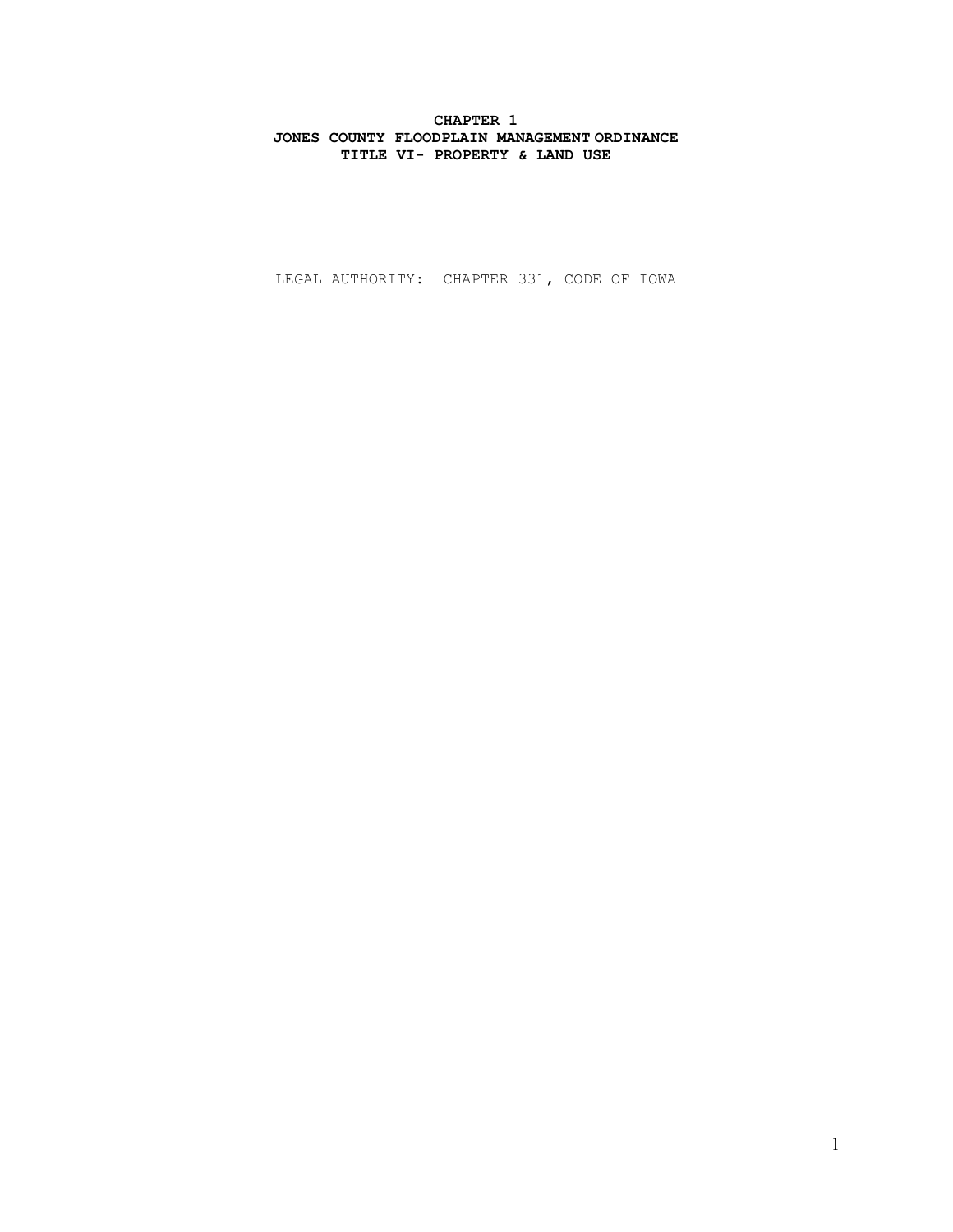# CHAPTER 1 JONES COUNTY FLOODPLAIN MANAGEMENT ORDINANCE TITLE VI- PROPERTY & LAND USE

LEGAL AUTHORITY: CHAPTER 331, CODE OF IOWA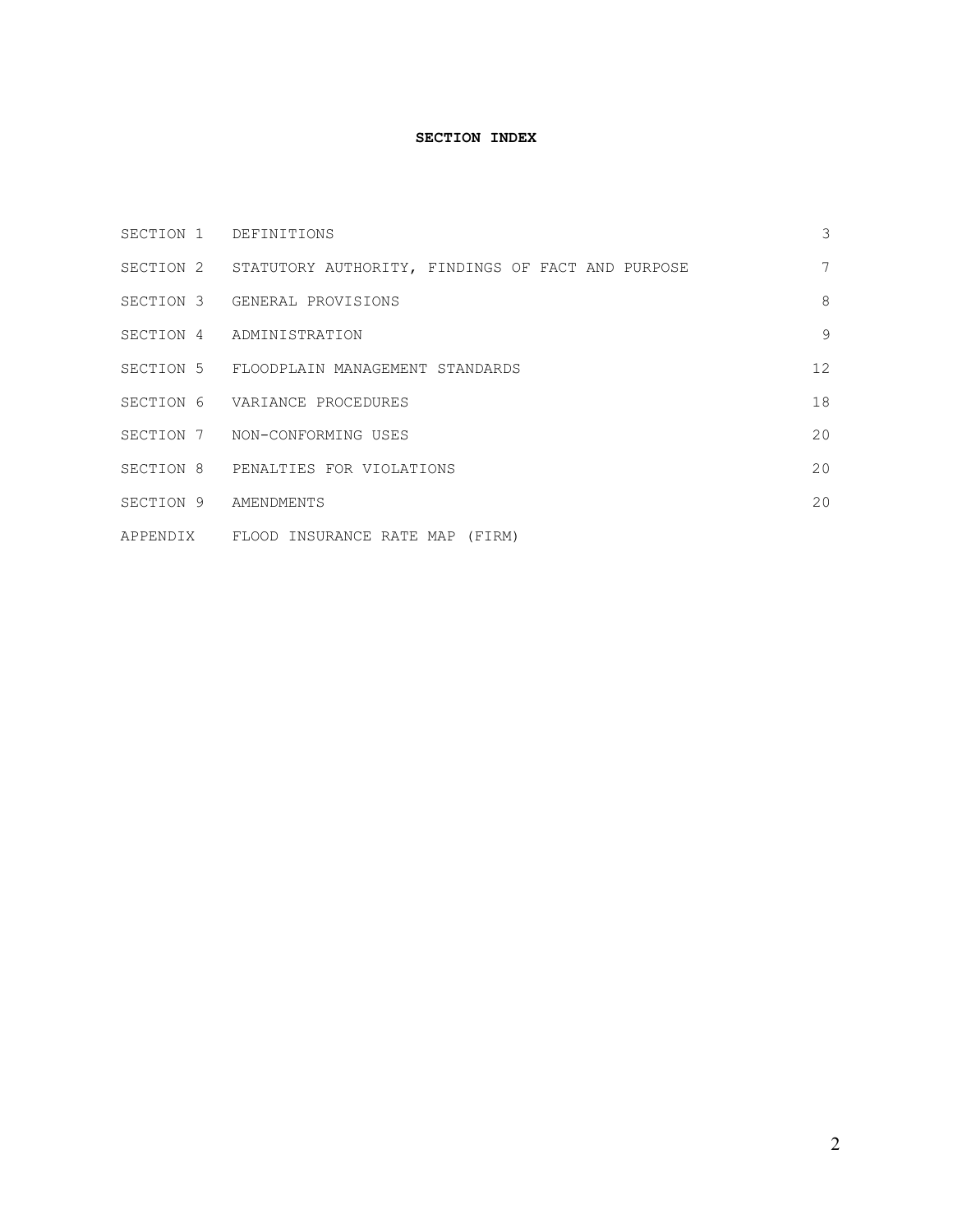# SECTION INDEX

| SECTION 1 DEFINITIONS                                       | 3  |
|-------------------------------------------------------------|----|
| SECTION 2 STATUTORY AUTHORITY, FINDINGS OF FACT AND PURPOSE | 7  |
| SECTION 3 GENERAL PROVISIONS                                | 8  |
| SECTION 4 ADMINISTRATION                                    | 9  |
| SECTION 5 FLOODPLAIN MANAGEMENT STANDARDS                   | 12 |
| SECTION 6 VARIANCE PROCEDURES                               | 18 |
| SECTION 7 NON-CONFORMING USES                               | 20 |
| SECTION 8 PENALTIES FOR VIOLATIONS                          | 20 |
| SECTION 9 AMENDMENTS                                        | 20 |
| APPENDIX FLOOD INSURANCE RATE MAP (FIRM)                    |    |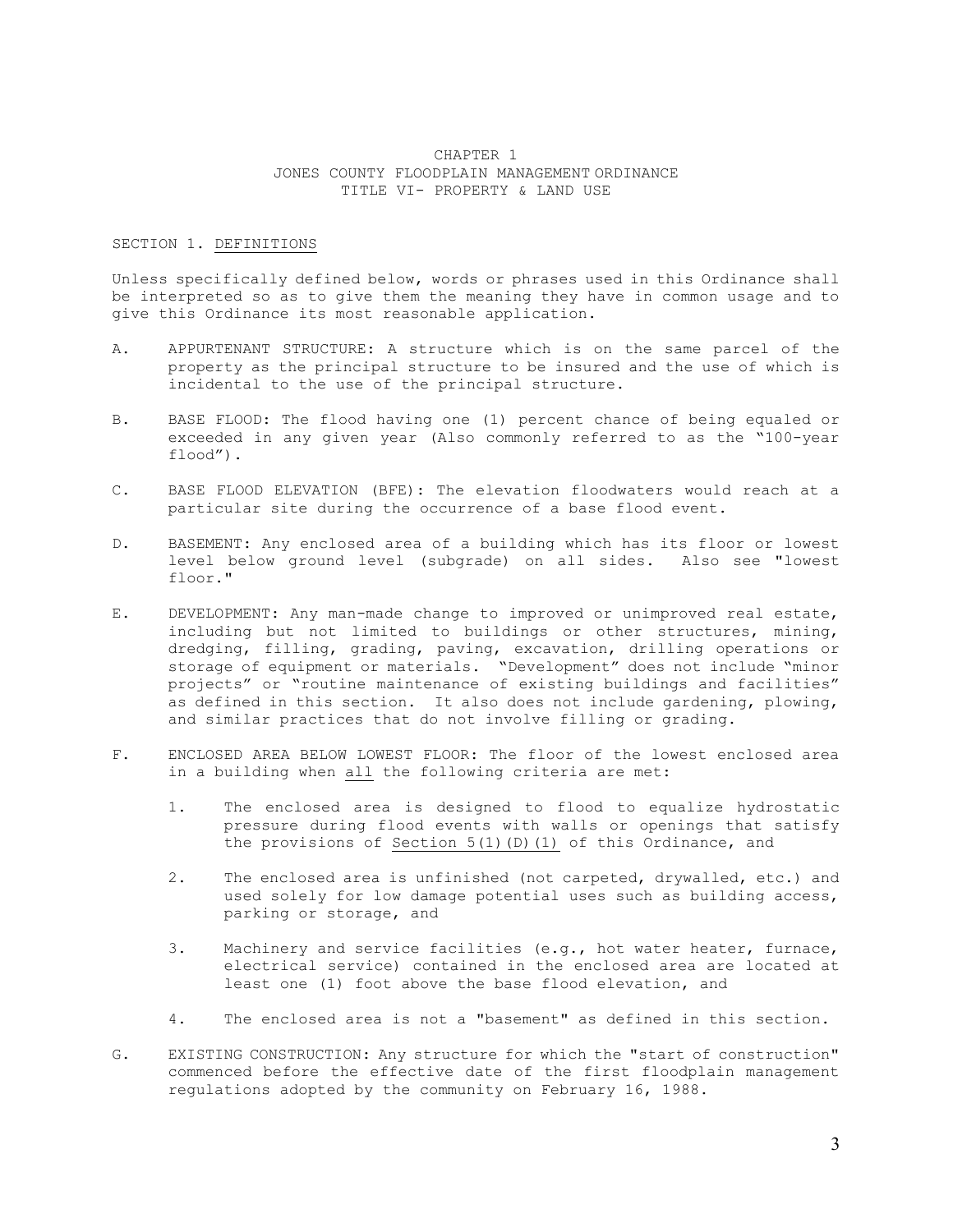# CHAPTER 1 JONES COUNTY FLOODPLAIN MANAGEMENT ORDINANCE TITLE VI- PROPERTY & LAND USE

### SECTION 1. DEFINITIONS

Unless specifically defined below, words or phrases used in this Ordinance shall be interpreted so as to give them the meaning they have in common usage and to give this Ordinance its most reasonable application.

- A. APPURTENANT STRUCTURE: A structure which is on the same parcel of the property as the principal structure to be insured and the use of which is incidental to the use of the principal structure.
- B. BASE FLOOD: The flood having one (1) percent chance of being equaled or exceeded in any given year (Also commonly referred to as the "100-year flood").
- C. BASE FLOOD ELEVATION (BFE): The elevation floodwaters would reach at a particular site during the occurrence of a base flood event.
- D. BASEMENT: Any enclosed area of a building which has its floor or lowest level below ground level (subgrade) on all sides. Also see "lowest floor."
- E. DEVELOPMENT: Any man-made change to improved or unimproved real estate, including but not limited to buildings or other structures, mining, dredging, filling, grading, paving, excavation, drilling operations or storage of equipment or materials. "Development" does not include "minor projects" or "routine maintenance of existing buildings and facilities" as defined in this section. It also does not include gardening, plowing, and similar practices that do not involve filling or grading.
- F. ENCLOSED AREA BELOW LOWEST FLOOR: The floor of the lowest enclosed area in a building when all the following criteria are met:
	- 1. The enclosed area is designed to flood to equalize hydrostatic pressure during flood events with walls or openings that satisfy the provisions of Section  $5(1)(D)(1)$  of this Ordinance, and
	- 2. The enclosed area is unfinished (not carpeted, drywalled, etc.) and used solely for low damage potential uses such as building access, parking or storage, and
	- 3. Machinery and service facilities (e.g., hot water heater, furnace, electrical service) contained in the enclosed area are located at least one (1) foot above the base flood elevation, and
	- 4. The enclosed area is not a "basement" as defined in this section.
- G. EXISTING CONSTRUCTION: Any structure for which the "start of construction" commenced before the effective date of the first floodplain management regulations adopted by the community on February 16, 1988.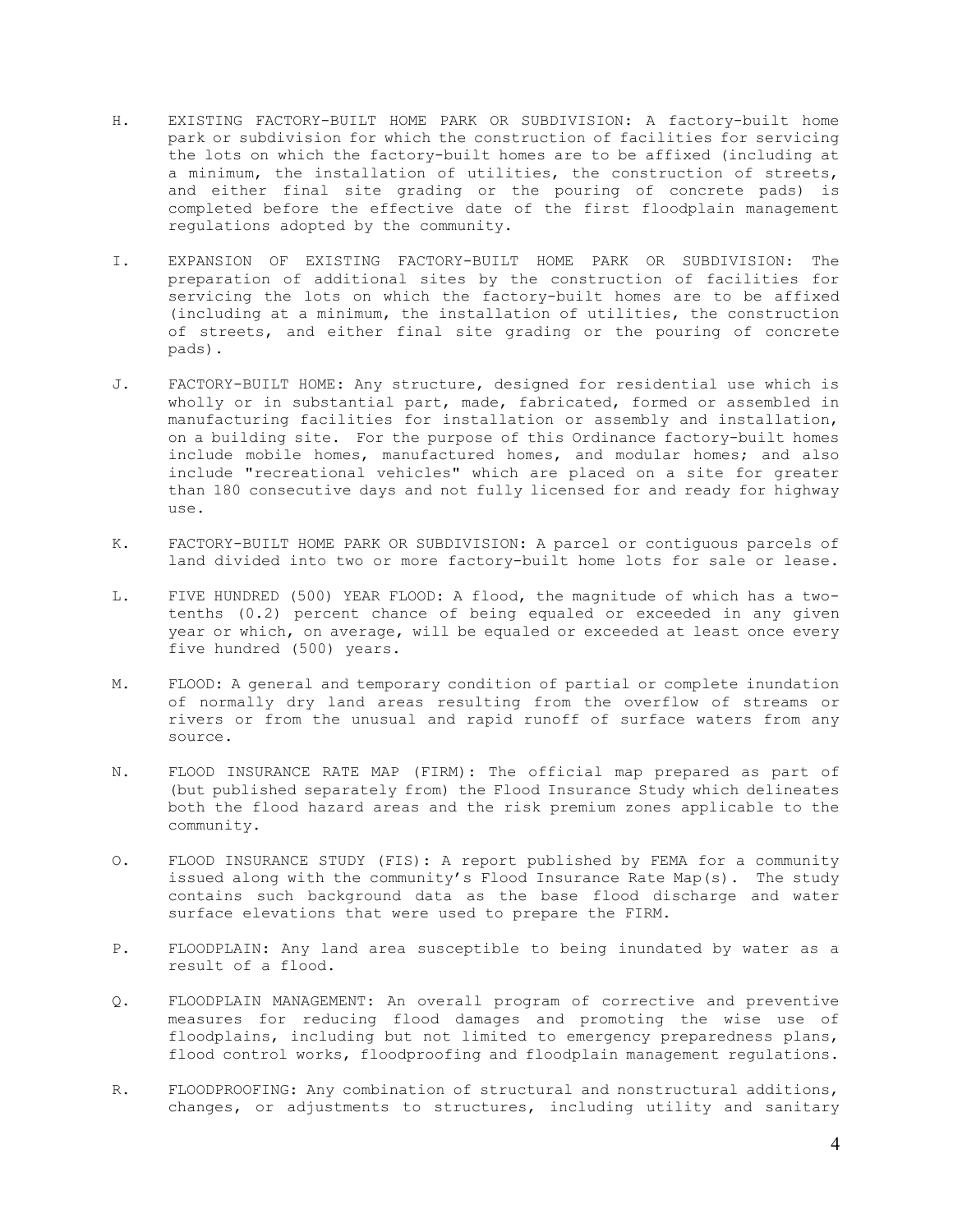- H. EXISTING FACTORY-BUILT HOME PARK OR SUBDIVISION: A factory-built home park or subdivision for which the construction of facilities for servicing the lots on which the factory-built homes are to be affixed (including at a minimum, the installation of utilities, the construction of streets, and either final site grading or the pouring of concrete pads) is completed before the effective date of the first floodplain management regulations adopted by the community.
- I. EXPANSION OF EXISTING FACTORY-BUILT HOME PARK OR SUBDIVISION: The preparation of additional sites by the construction of facilities for servicing the lots on which the factory-built homes are to be affixed (including at a minimum, the installation of utilities, the construction of streets, and either final site grading or the pouring of concrete pads).
- J. FACTORY-BUILT HOME: Any structure, designed for residential use which is wholly or in substantial part, made, fabricated, formed or assembled in manufacturing facilities for installation or assembly and installation, on a building site. For the purpose of this Ordinance factory-built homes include mobile homes, manufactured homes, and modular homes; and also include "recreational vehicles" which are placed on a site for greater than 180 consecutive days and not fully licensed for and ready for highway use.
- K. FACTORY-BUILT HOME PARK OR SUBDIVISION: A parcel or contiguous parcels of land divided into two or more factory-built home lots for sale or lease.
- L. FIVE HUNDRED (500) YEAR FLOOD: A flood, the magnitude of which has a twotenths (0.2) percent chance of being equaled or exceeded in any given year or which, on average, will be equaled or exceeded at least once every five hundred (500) years.
- M. FLOOD: A general and temporary condition of partial or complete inundation of normally dry land areas resulting from the overflow of streams or rivers or from the unusual and rapid runoff of surface waters from any source.
- N. FLOOD INSURANCE RATE MAP (FIRM): The official map prepared as part of (but published separately from) the Flood Insurance Study which delineates both the flood hazard areas and the risk premium zones applicable to the community.
- O. FLOOD INSURANCE STUDY (FIS): A report published by FEMA for a community issued along with the community's Flood Insurance Rate Map(s). The study contains such background data as the base flood discharge and water surface elevations that were used to prepare the FIRM.
- P. FLOODPLAIN: Any land area susceptible to being inundated by water as a result of a flood.
- Q. FLOODPLAIN MANAGEMENT: An overall program of corrective and preventive measures for reducing flood damages and promoting the wise use of floodplains, including but not limited to emergency preparedness plans, flood control works, floodproofing and floodplain management regulations.
- R. FLOODPROOFING: Any combination of structural and nonstructural additions, changes, or adjustments to structures, including utility and sanitary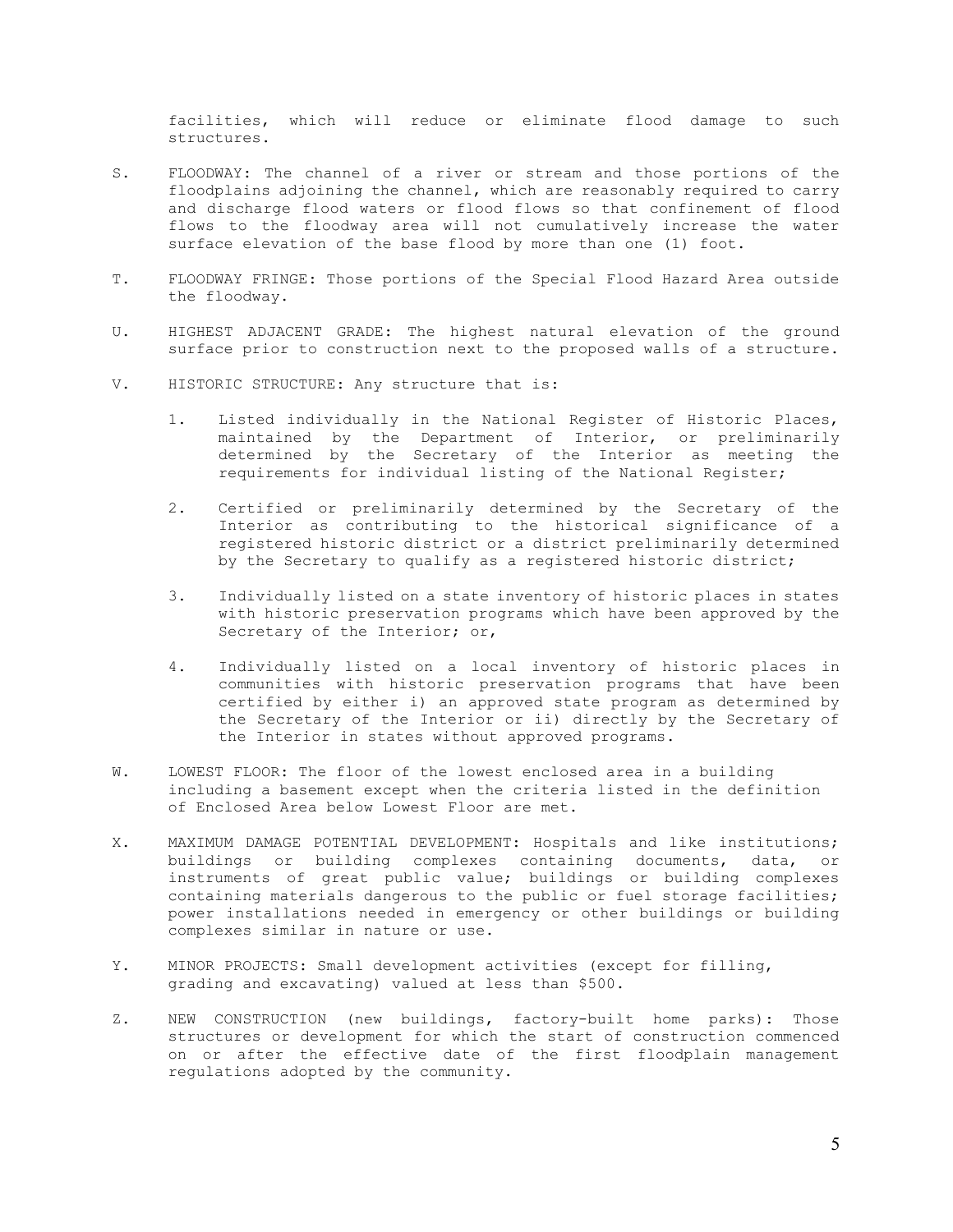facilities, which will reduce or eliminate flood damage to such structures.

- S. FLOODWAY: The channel of a river or stream and those portions of the floodplains adjoining the channel, which are reasonably required to carry and discharge flood waters or flood flows so that confinement of flood flows to the floodway area will not cumulatively increase the water surface elevation of the base flood by more than one (1) foot.
- T. FLOODWAY FRINGE: Those portions of the Special Flood Hazard Area outside the floodway.
- U. HIGHEST ADJACENT GRADE: The highest natural elevation of the ground surface prior to construction next to the proposed walls of a structure.
- V. HISTORIC STRUCTURE: Any structure that is:
	- 1. Listed individually in the National Register of Historic Places, maintained by the Department of Interior, or preliminarily determined by the Secretary of the Interior as meeting the requirements for individual listing of the National Register;
	- 2. Certified or preliminarily determined by the Secretary of the Interior as contributing to the historical significance of a registered historic district or a district preliminarily determined by the Secretary to qualify as a registered historic district;
	- 3. Individually listed on a state inventory of historic places in states with historic preservation programs which have been approved by the Secretary of the Interior; or,
	- 4. Individually listed on a local inventory of historic places in communities with historic preservation programs that have been certified by either i) an approved state program as determined by the Secretary of the Interior or ii) directly by the Secretary of the Interior in states without approved programs.
- W. LOWEST FLOOR: The floor of the lowest enclosed area in a building including a basement except when the criteria listed in the definition of Enclosed Area below Lowest Floor are met.
- X. MAXIMUM DAMAGE POTENTIAL DEVELOPMENT: Hospitals and like institutions; buildings or building complexes containing documents, data, or instruments of great public value; buildings or building complexes containing materials dangerous to the public or fuel storage facilities; power installations needed in emergency or other buildings or building complexes similar in nature or use.
- Y. MINOR PROJECTS: Small development activities (except for filling, grading and excavating) valued at less than \$500.
- Z. NEW CONSTRUCTION (new buildings, factory-built home parks): Those structures or development for which the start of construction commenced on or after the effective date of the first floodplain management regulations adopted by the community.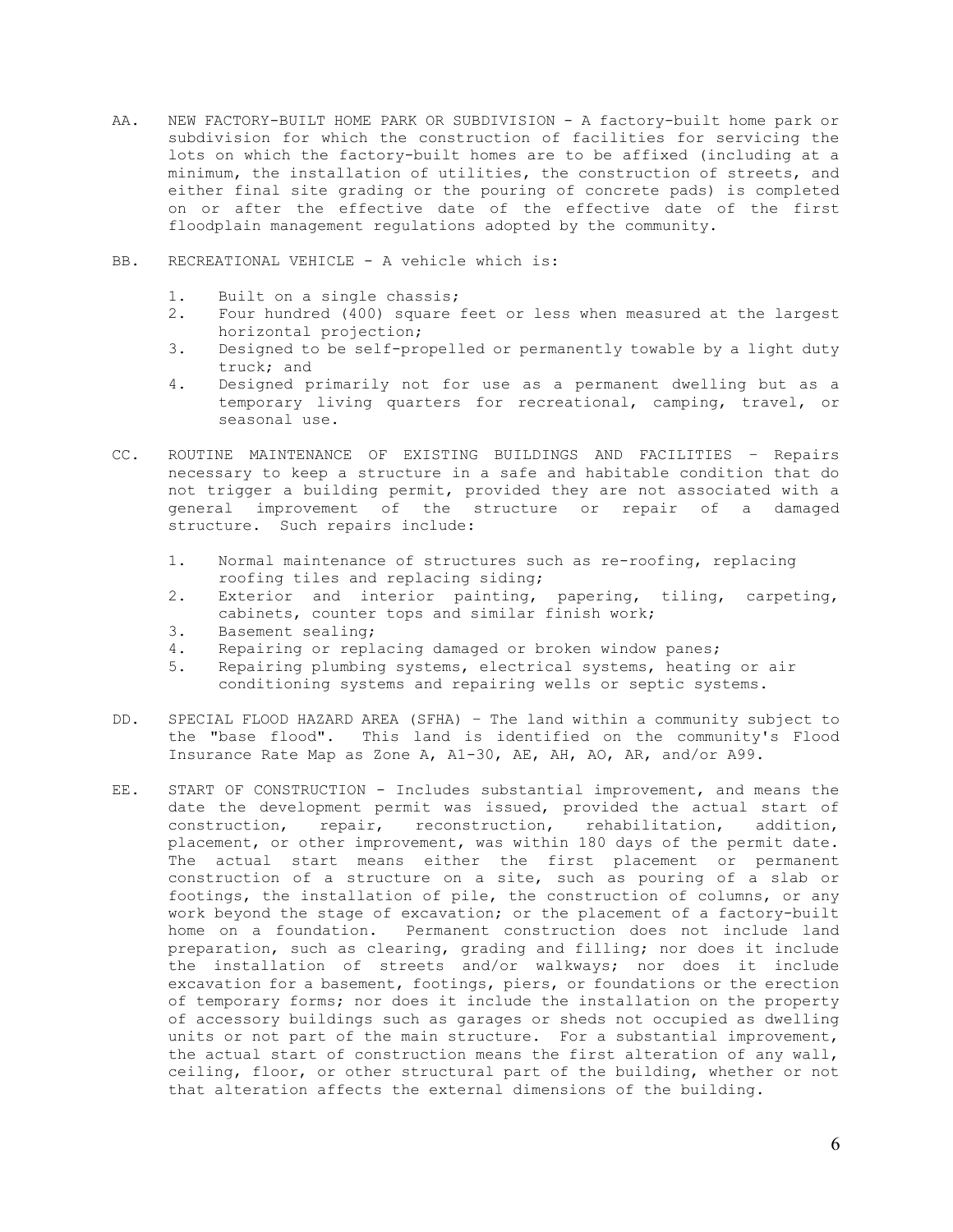- AA. NEW FACTORY-BUILT HOME PARK OR SUBDIVISION A factory-built home park or subdivision for which the construction of facilities for servicing the lots on which the factory-built homes are to be affixed (including at a minimum, the installation of utilities, the construction of streets, and either final site grading or the pouring of concrete pads) is completed on or after the effective date of the effective date of the first floodplain management regulations adopted by the community.
- BB. RECREATIONAL VEHICLE A vehicle which is:
	- 1. Built on a single chassis;
	- 2. Four hundred (400) square feet or less when measured at the largest horizontal projection;
	- 3. Designed to be self-propelled or permanently towable by a light duty truck; and
	- 4. Designed primarily not for use as a permanent dwelling but as a temporary living quarters for recreational, camping, travel, or seasonal use.
- CC. ROUTINE MAINTENANCE OF EXISTING BUILDINGS AND FACILITIES Repairs necessary to keep a structure in a safe and habitable condition that do not trigger a building permit, provided they are not associated with a general improvement of the structure or repair of a damaged structure. Such repairs include:
	- 1. Normal maintenance of structures such as re-roofing, replacing roofing tiles and replacing siding;
	- 2. Exterior and interior painting, papering, tiling, carpeting, cabinets, counter tops and similar finish work;
	- 3. Basement sealing;
	- 4. Repairing or replacing damaged or broken window panes;
	- 5. Repairing plumbing systems, electrical systems, heating or air conditioning systems and repairing wells or septic systems.
- DD. SPECIAL FLOOD HAZARD AREA (SFHA) The land within a community subject to the "base flood". This land is identified on the community's Flood Insurance Rate Map as Zone A, A1-30, AE, AH, AO, AR, and/or A99.
- EE. START OF CONSTRUCTION Includes substantial improvement, and means the date the development permit was issued, provided the actual start of construction, repair, reconstruction, rehabilitation, addition, placement, or other improvement, was within 180 days of the permit date. The actual start means either the first placement or permanent construction of a structure on a site, such as pouring of a slab or footings, the installation of pile, the construction of columns, or any work beyond the stage of excavation; or the placement of a factory-built home on a foundation. Permanent construction does not include land preparation, such as clearing, grading and filling; nor does it include the installation of streets and/or walkways; nor does it include excavation for a basement, footings, piers, or foundations or the erection of temporary forms; nor does it include the installation on the property of accessory buildings such as garages or sheds not occupied as dwelling units or not part of the main structure. For a substantial improvement, the actual start of construction means the first alteration of any wall, ceiling, floor, or other structural part of the building, whether or not that alteration affects the external dimensions of the building.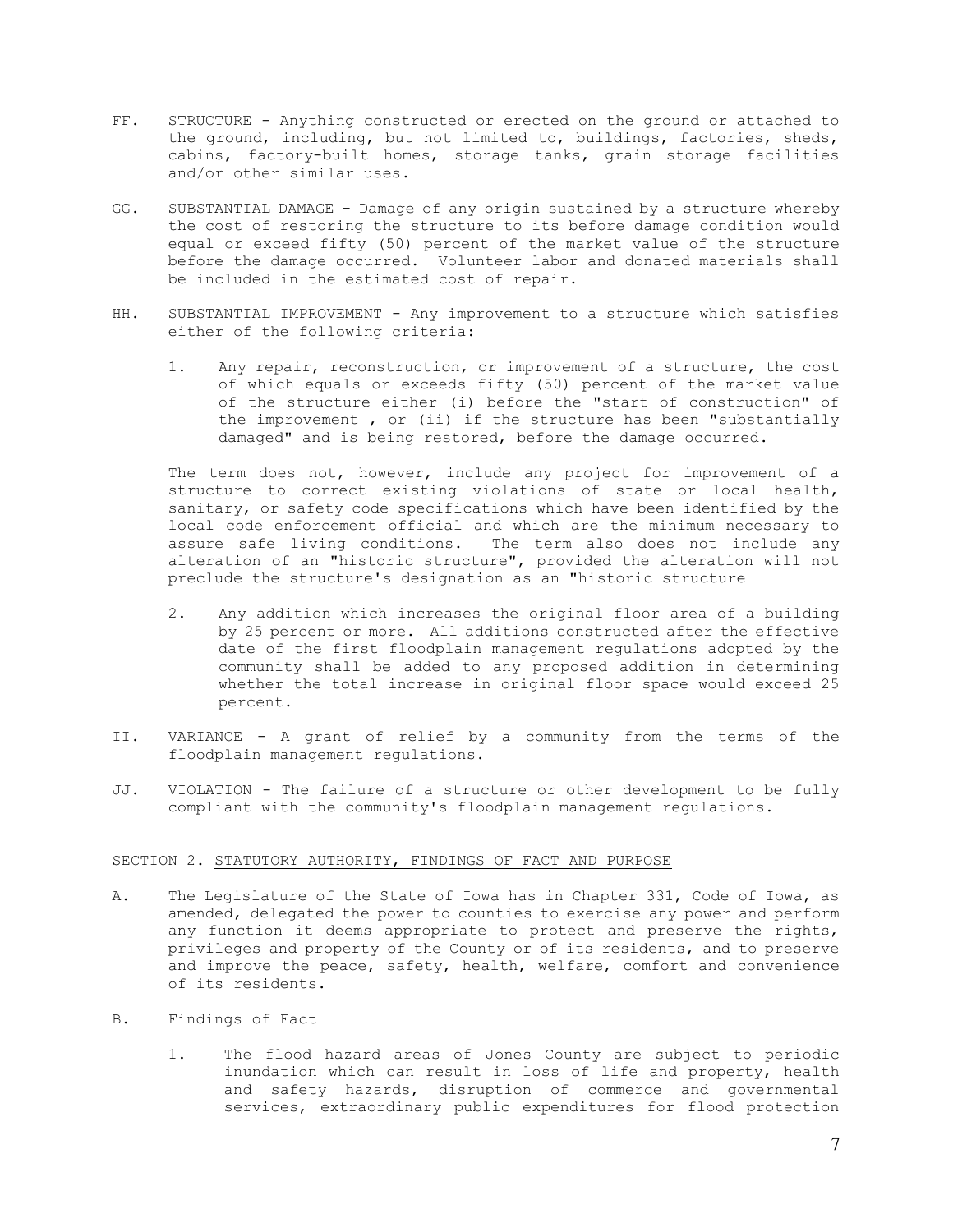- FF. STRUCTURE Anything constructed or erected on the ground or attached to the ground, including, but not limited to, buildings, factories, sheds, cabins, factory-built homes, storage tanks, grain storage facilities and/or other similar uses.
- GG. SUBSTANTIAL DAMAGE Damage of any origin sustained by a structure whereby the cost of restoring the structure to its before damage condition would equal or exceed fifty (50) percent of the market value of the structure before the damage occurred. Volunteer labor and donated materials shall be included in the estimated cost of repair.
- HH. SUBSTANTIAL IMPROVEMENT Any improvement to a structure which satisfies either of the following criteria:
	- 1. Any repair, reconstruction, or improvement of a structure, the cost of which equals or exceeds fifty (50) percent of the market value of the structure either (i) before the "start of construction" of the improvement , or (ii) if the structure has been "substantially damaged" and is being restored, before the damage occurred.

The term does not, however, include any project for improvement of a structure to correct existing violations of state or local health, sanitary, or safety code specifications which have been identified by the local code enforcement official and which are the minimum necessary to assure safe living conditions. The term also does not include any alteration of an "historic structure", provided the alteration will not preclude the structure's designation as an "historic structure

- 2. Any addition which increases the original floor area of a building by 25 percent or more. All additions constructed after the effective date of the first floodplain management regulations adopted by the community shall be added to any proposed addition in determining whether the total increase in original floor space would exceed 25 percent.
- II. VARIANCE A grant of relief by a community from the terms of the floodplain management regulations.
- JJ. VIOLATION The failure of a structure or other development to be fully compliant with the community's floodplain management regulations.

#### SECTION 2. STATUTORY AUTHORITY, FINDINGS OF FACT AND PURPOSE

- A. The Legislature of the State of Iowa has in Chapter 331, Code of Iowa, as amended, delegated the power to counties to exercise any power and perform any function it deems appropriate to protect and preserve the rights, privileges and property of the County or of its residents, and to preserve and improve the peace, safety, health, welfare, comfort and convenience of its residents.
- B. Findings of Fact
	- 1. The flood hazard areas of Jones County are subject to periodic inundation which can result in loss of life and property, health and safety hazards, disruption of commerce and governmental services, extraordinary public expenditures for flood protection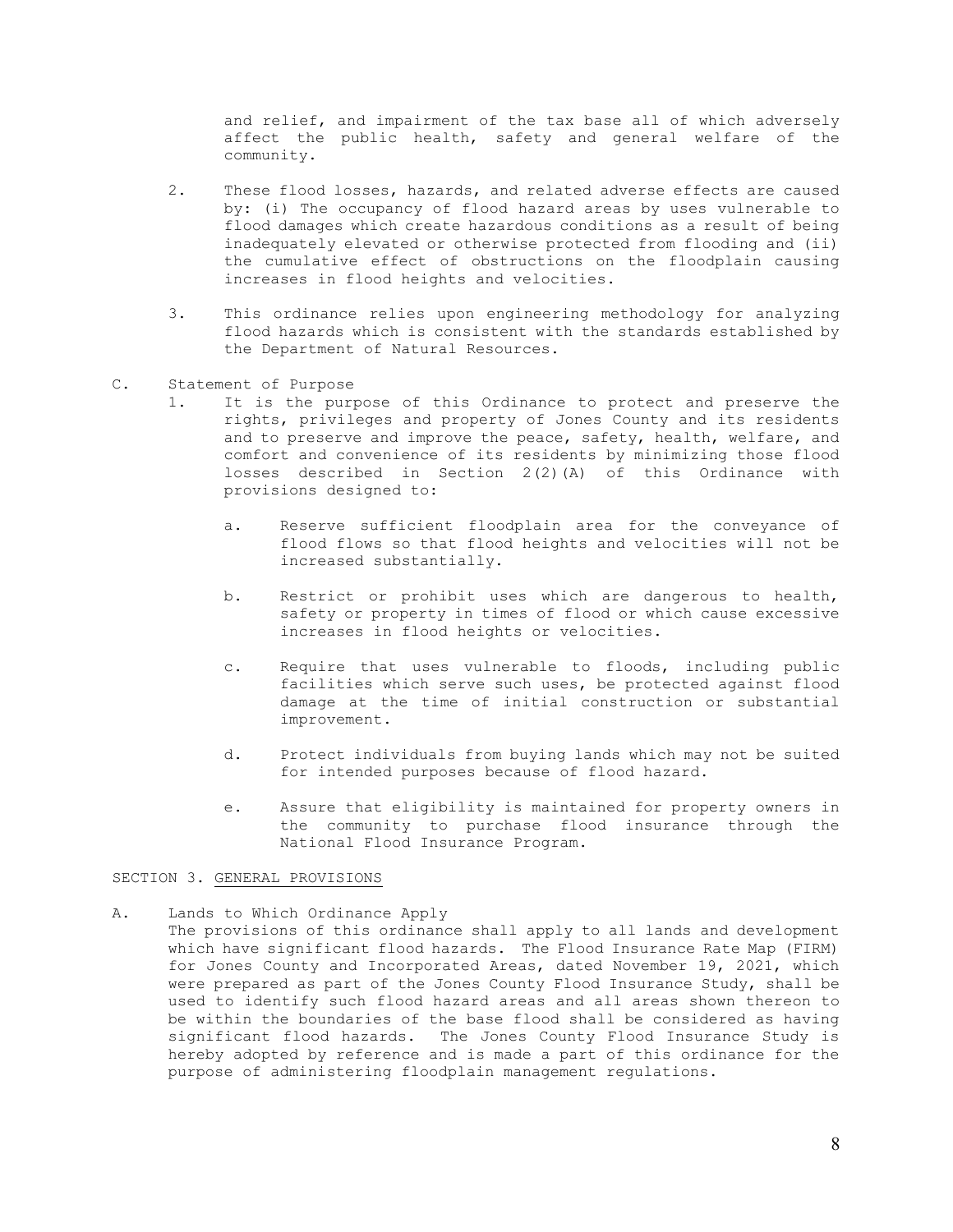and relief, and impairment of the tax base all of which adversely affect the public health, safety and general welfare of the community.

- 2. These flood losses, hazards, and related adverse effects are caused by: (i) The occupancy of flood hazard areas by uses vulnerable to flood damages which create hazardous conditions as a result of being inadequately elevated or otherwise protected from flooding and (ii) the cumulative effect of obstructions on the floodplain causing increases in flood heights and velocities.
- 3. This ordinance relies upon engineering methodology for analyzing flood hazards which is consistent with the standards established by the Department of Natural Resources.
- C. Statement of Purpose
	- 1. It is the purpose of this Ordinance to protect and preserve the rights, privileges and property of Jones County and its residents and to preserve and improve the peace, safety, health, welfare, and comfort and convenience of its residents by minimizing those flood losses described in Section 2(2)(A) of this Ordinance with provisions designed to:
		- a. Reserve sufficient floodplain area for the conveyance of flood flows so that flood heights and velocities will not be increased substantially.
		- b. Restrict or prohibit uses which are dangerous to health, safety or property in times of flood or which cause excessive increases in flood heights or velocities.
		- c. Require that uses vulnerable to floods, including public facilities which serve such uses, be protected against flood damage at the time of initial construction or substantial improvement.
		- d. Protect individuals from buying lands which may not be suited for intended purposes because of flood hazard.
		- e. Assure that eligibility is maintained for property owners in the community to purchase flood insurance through the National Flood Insurance Program.

### SECTION 3. GENERAL PROVISIONS

A. Lands to Which Ordinance Apply The provisions of this ordinance shall apply to all lands and development which have significant flood hazards. The Flood Insurance Rate Map (FIRM) for Jones County and Incorporated Areas, dated November 19, 2021, which were prepared as part of the Jones County Flood Insurance Study, shall be used to identify such flood hazard areas and all areas shown thereon to be within the boundaries of the base flood shall be considered as having significant flood hazards. The Jones County Flood Insurance Study is hereby adopted by reference and is made a part of this ordinance for the purpose of administering floodplain management regulations.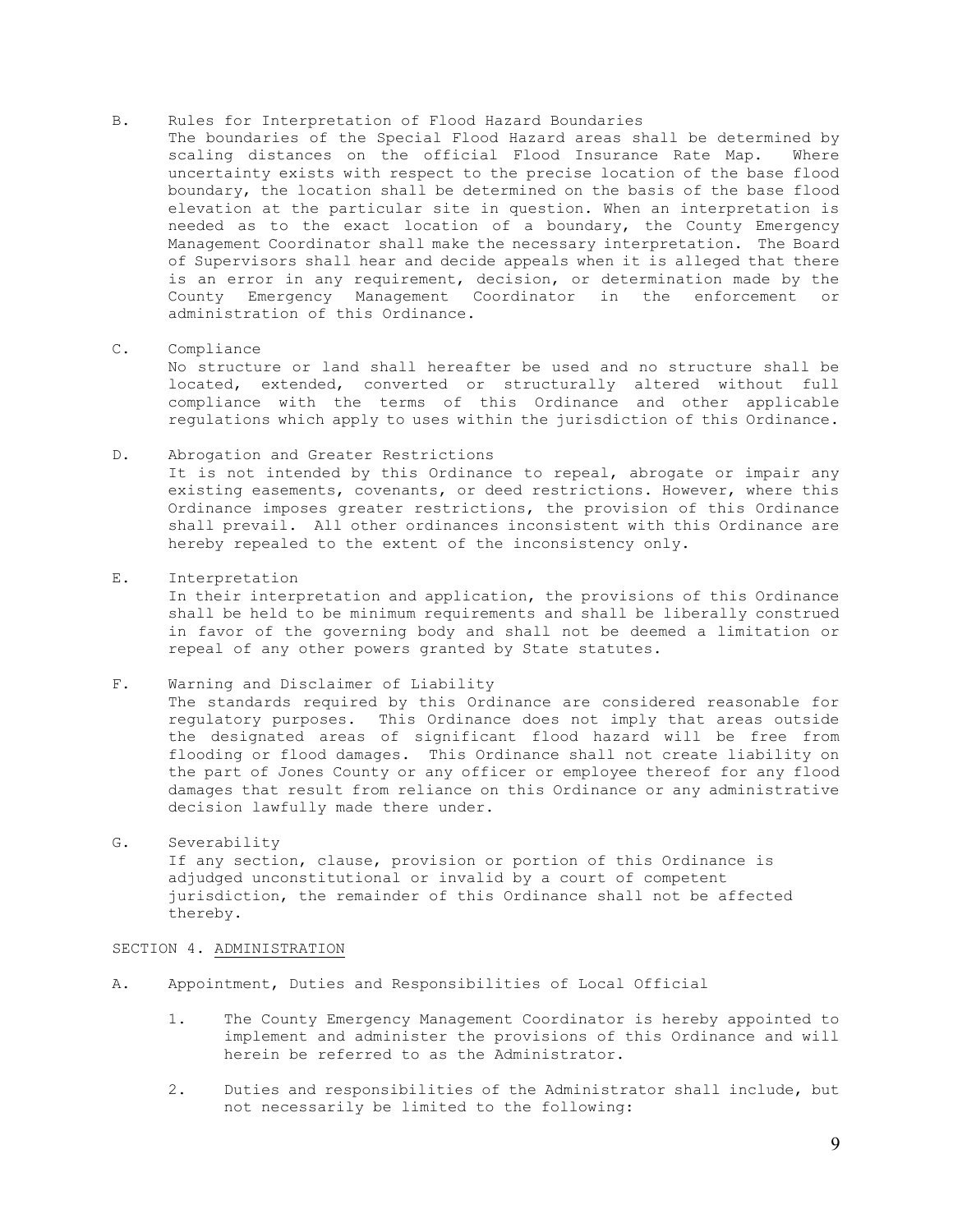# B. Rules for Interpretation of Flood Hazard Boundaries

- The boundaries of the Special Flood Hazard areas shall be determined by scaling distances on the official Flood Insurance Rate Map. Where uncertainty exists with respect to the precise location of the base flood boundary, the location shall be determined on the basis of the base flood elevation at the particular site in question. When an interpretation is needed as to the exact location of a boundary, the County Emergency Management Coordinator shall make the necessary interpretation. The Board of Supervisors shall hear and decide appeals when it is alleged that there is an error in any requirement, decision, or determination made by the County Emergency Management Coordinator in the enforcement or administration of this Ordinance.
- C. Compliance

No structure or land shall hereafter be used and no structure shall be located, extended, converted or structurally altered without full compliance with the terms of this Ordinance and other applicable regulations which apply to uses within the jurisdiction of this Ordinance.

# D. Abrogation and Greater Restrictions It is not intended by this Ordinance to repeal, abrogate or impair any existing easements, covenants, or deed restrictions. However, where this Ordinance imposes greater restrictions, the provision of this Ordinance shall prevail. All other ordinances inconsistent with this Ordinance are

hereby repealed to the extent of the inconsistency only.

E. Interpretation

In their interpretation and application, the provisions of this Ordinance shall be held to be minimum requirements and shall be liberally construed in favor of the governing body and shall not be deemed a limitation or repeal of any other powers granted by State statutes.

# F. Warning and Disclaimer of Liability

The standards required by this Ordinance are considered reasonable for regulatory purposes. This Ordinance does not imply that areas outside the designated areas of significant flood hazard will be free from flooding or flood damages. This Ordinance shall not create liability on the part of Jones County or any officer or employee thereof for any flood damages that result from reliance on this Ordinance or any administrative decision lawfully made there under.

# G. Severability If any section, clause, provision or portion of this Ordinance is adjudged unconstitutional or invalid by a court of competent jurisdiction, the remainder of this Ordinance shall not be affected thereby.

# SECTION 4. ADMINISTRATION

- A. Appointment, Duties and Responsibilities of Local Official
	- 1. The County Emergency Management Coordinator is hereby appointed to implement and administer the provisions of this Ordinance and will herein be referred to as the Administrator.
	- 2. Duties and responsibilities of the Administrator shall include, but not necessarily be limited to the following: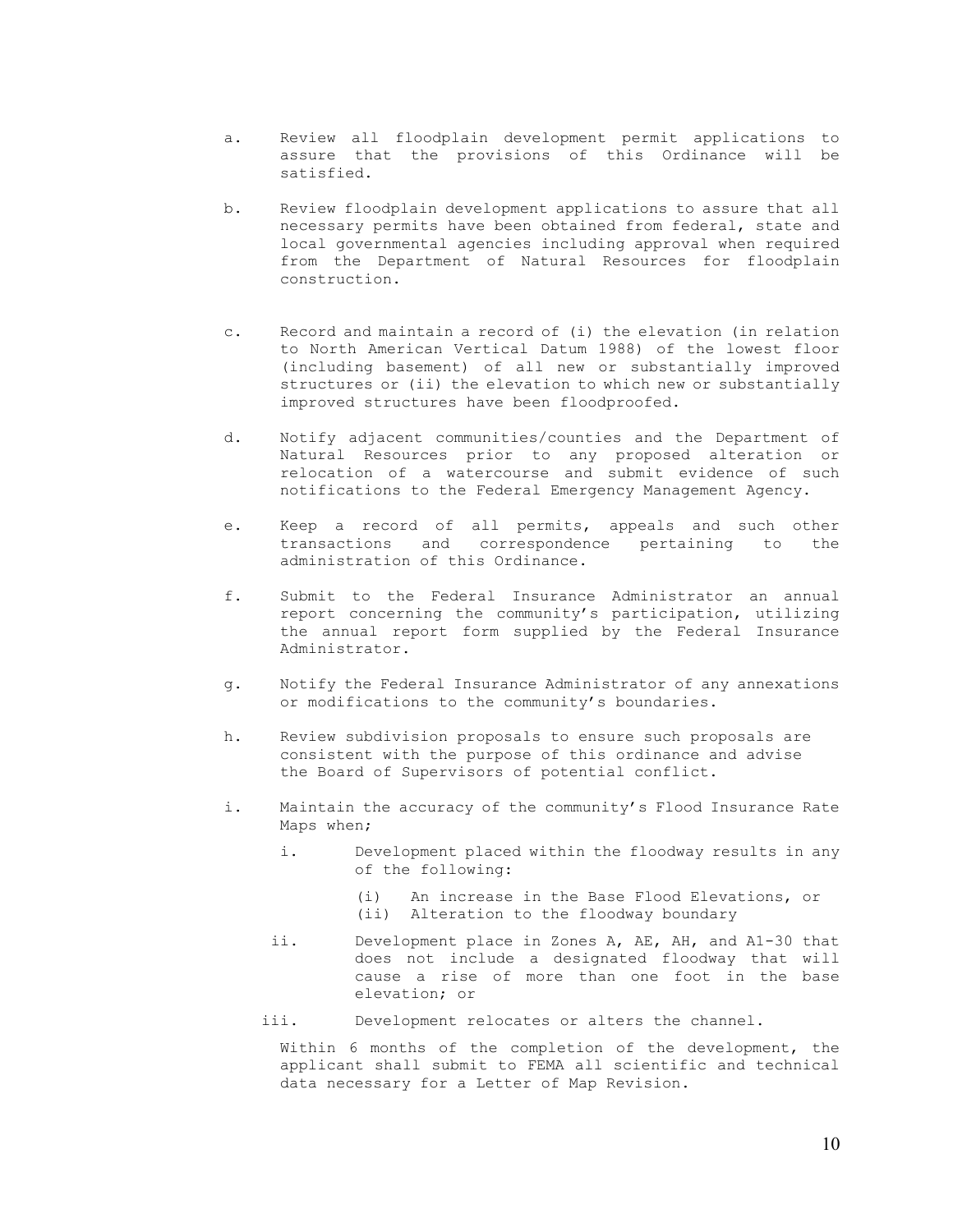- a. Review all floodplain development permit applications to assure that the provisions of this Ordinance will be satisfied.
- b. Review floodplain development applications to assure that all necessary permits have been obtained from federal, state and local governmental agencies including approval when required from the Department of Natural Resources for floodplain construction.
- c. Record and maintain a record of (i) the elevation (in relation to North American Vertical Datum 1988) of the lowest floor (including basement) of all new or substantially improved structures or (ii) the elevation to which new or substantially improved structures have been floodproofed.
- d. Notify adjacent communities/counties and the Department of Natural Resources prior to any proposed alteration or relocation of a watercourse and submit evidence of such notifications to the Federal Emergency Management Agency.
- e. Keep a record of all permits, appeals and such other transactions and correspondence pertaining to the administration of this Ordinance.
- f. Submit to the Federal Insurance Administrator an annual report concerning the community's participation, utilizing the annual report form supplied by the Federal Insurance Administrator.
- g. Notify the Federal Insurance Administrator of any annexations or modifications to the community's boundaries.
- h. Review subdivision proposals to ensure such proposals are consistent with the purpose of this ordinance and advise the Board of Supervisors of potential conflict.
- i. Maintain the accuracy of the community's Flood Insurance Rate Maps when;
	- i. Development placed within the floodway results in any of the following:
		- (i) An increase in the Base Flood Elevations, or
		- (ii) Alteration to the floodway boundary
	- ii. Development place in Zones A, AE, AH, and A1-30 that does not include a designated floodway that will cause a rise of more than one foot in the base elevation; or
	- iii. Development relocates or alters the channel.

Within 6 months of the completion of the development, the applicant shall submit to FEMA all scientific and technical data necessary for a Letter of Map Revision.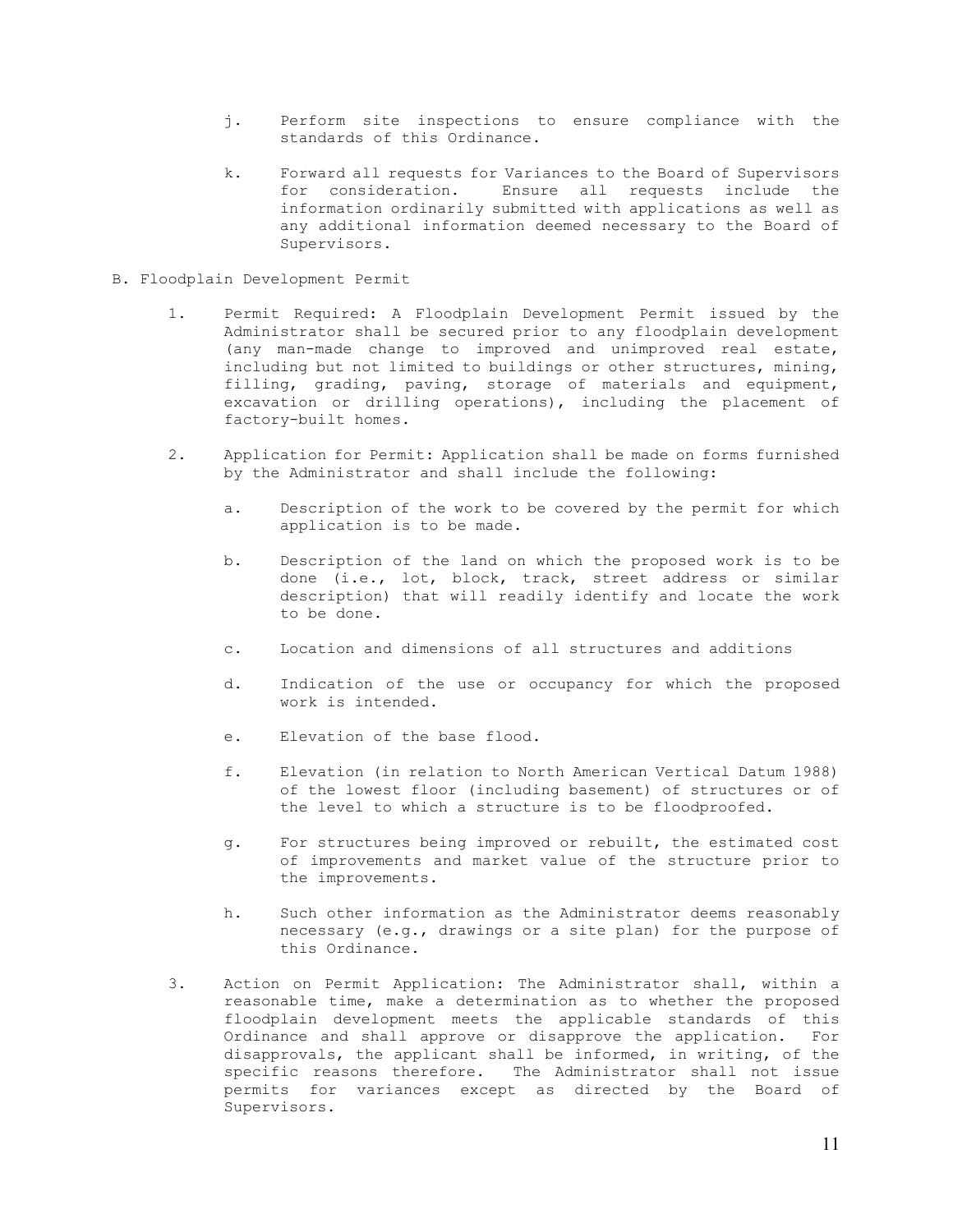- j. Perform site inspections to ensure compliance with the standards of this Ordinance.
- k. Forward all requests for Variances to the Board of Supervisors for consideration. Ensure all requests include the information ordinarily submitted with applications as well as any additional information deemed necessary to the Board of Supervisors.
- B. Floodplain Development Permit
	- 1. Permit Required: A Floodplain Development Permit issued by the Administrator shall be secured prior to any floodplain development (any man-made change to improved and unimproved real estate, including but not limited to buildings or other structures, mining, filling, grading, paving, storage of materials and equipment, excavation or drilling operations), including the placement of factory-built homes.
	- 2. Application for Permit: Application shall be made on forms furnished by the Administrator and shall include the following:
		- a. Description of the work to be covered by the permit for which application is to be made.
		- b. Description of the land on which the proposed work is to be done (i.e., lot, block, track, street address or similar description) that will readily identify and locate the work to be done.
		- c. Location and dimensions of all structures and additions
		- d. Indication of the use or occupancy for which the proposed work is intended.
		- e. Elevation of the base flood.
		- f. Elevation (in relation to North American Vertical Datum 1988) of the lowest floor (including basement) of structures or of the level to which a structure is to be floodproofed.
		- g. For structures being improved or rebuilt, the estimated cost of improvements and market value of the structure prior to the improvements.
		- h. Such other information as the Administrator deems reasonably necessary (e.g., drawings or a site plan) for the purpose of this Ordinance.
	- 3. Action on Permit Application: The Administrator shall, within a reasonable time, make a determination as to whether the proposed floodplain development meets the applicable standards of this Ordinance and shall approve or disapprove the application. For disapprovals, the applicant shall be informed, in writing, of the specific reasons therefore. The Administrator shall not issue permits for variances except as directed by the Board of Supervisors.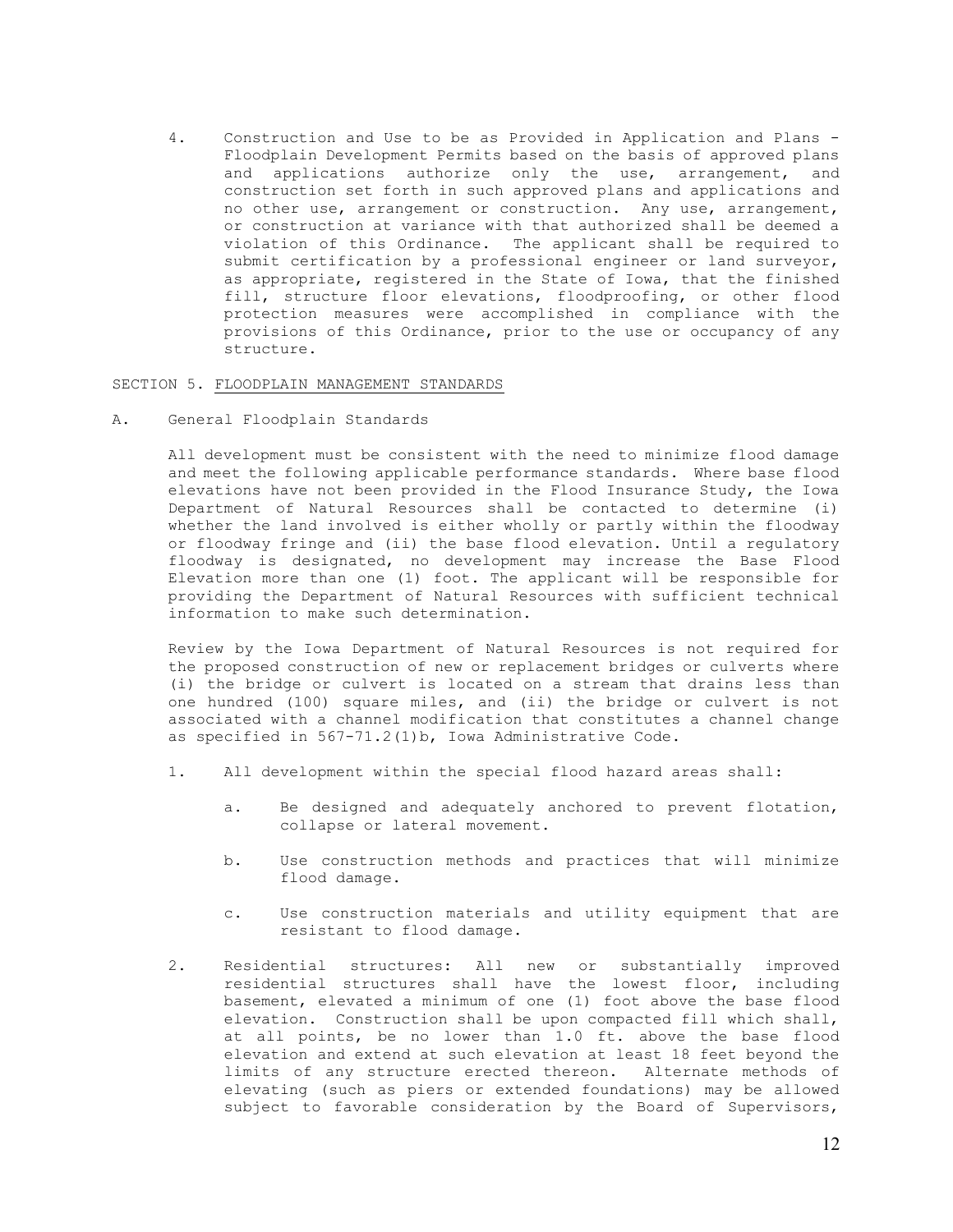4. Construction and Use to be as Provided in Application and Plans - Floodplain Development Permits based on the basis of approved plans and applications authorize only the use, arrangement, and construction set forth in such approved plans and applications and no other use, arrangement or construction. Any use, arrangement, or construction at variance with that authorized shall be deemed a violation of this Ordinance. The applicant shall be required to submit certification by a professional engineer or land surveyor, as appropriate, registered in the State of Iowa, that the finished fill, structure floor elevations, floodproofing, or other flood protection measures were accomplished in compliance with the provisions of this Ordinance, prior to the use or occupancy of any structure.

# SECTION 5. FLOODPLAIN MANAGEMENT STANDARDS

A. General Floodplain Standards

All development must be consistent with the need to minimize flood damage and meet the following applicable performance standards. Where base flood elevations have not been provided in the Flood Insurance Study, the Iowa Department of Natural Resources shall be contacted to determine (i) whether the land involved is either wholly or partly within the floodway or floodway fringe and (ii) the base flood elevation. Until a regulatory floodway is designated, no development may increase the Base Flood Elevation more than one (1) foot. The applicant will be responsible for providing the Department of Natural Resources with sufficient technical information to make such determination.

Review by the Iowa Department of Natural Resources is not required for the proposed construction of new or replacement bridges or culverts where (i) the bridge or culvert is located on a stream that drains less than one hundred (100) square miles, and (ii) the bridge or culvert is not associated with a channel modification that constitutes a channel change as specified in 567-71.2(1)b, Iowa Administrative Code.

- 1. All development within the special flood hazard areas shall:
	- a. Be designed and adequately anchored to prevent flotation, collapse or lateral movement.
	- b. Use construction methods and practices that will minimize flood damage.
	- c. Use construction materials and utility equipment that are resistant to flood damage.
- 2. Residential structures: All new or substantially improved residential structures shall have the lowest floor, including basement, elevated a minimum of one (1) foot above the base flood elevation. Construction shall be upon compacted fill which shall, at all points, be no lower than 1.0 ft. above the base flood elevation and extend at such elevation at least 18 feet beyond the limits of any structure erected thereon. Alternate methods of elevating (such as piers or extended foundations) may be allowed subject to favorable consideration by the Board of Supervisors,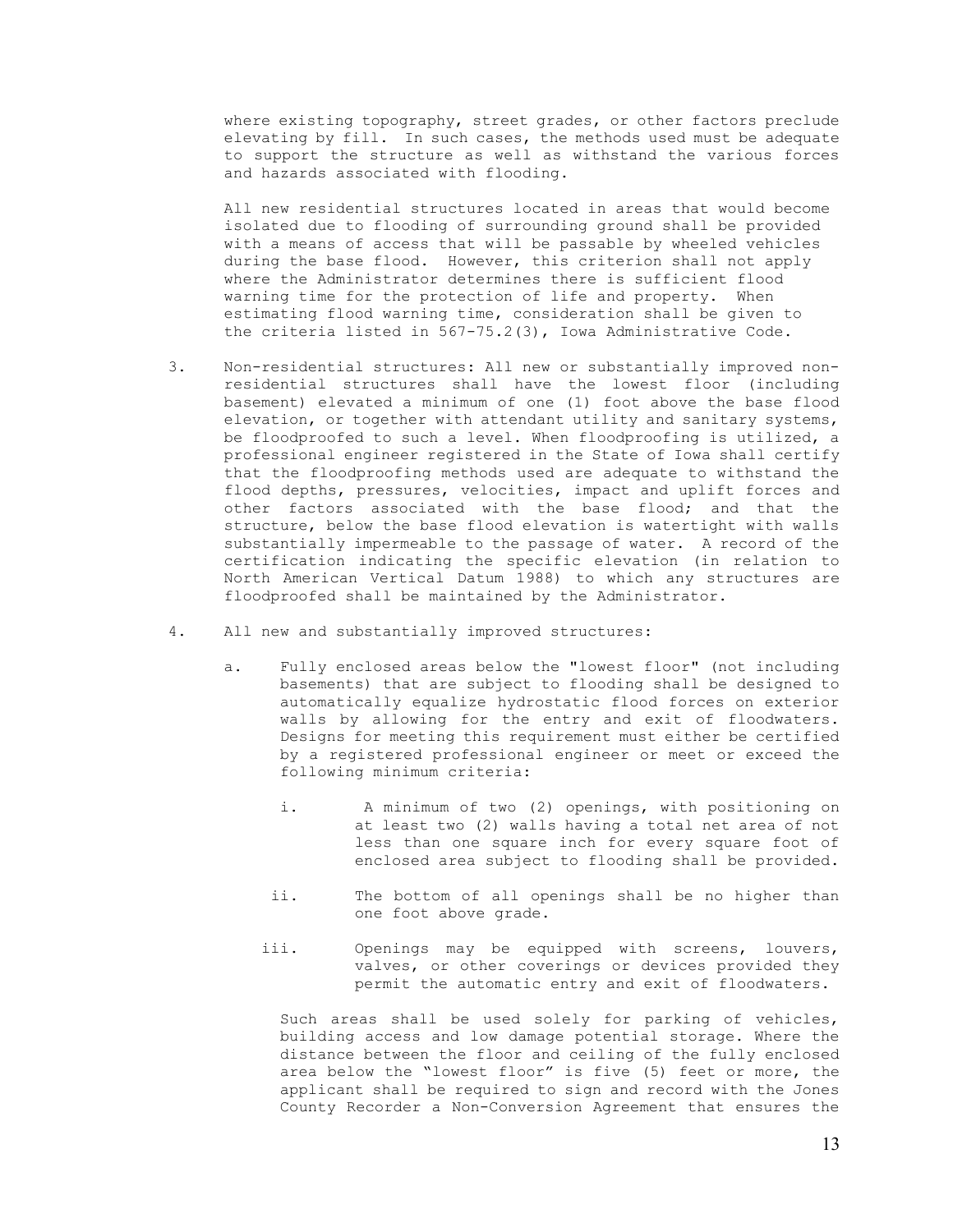where existing topography, street grades, or other factors preclude elevating by fill. In such cases, the methods used must be adequate to support the structure as well as withstand the various forces and hazards associated with flooding.

All new residential structures located in areas that would become isolated due to flooding of surrounding ground shall be provided with a means of access that will be passable by wheeled vehicles during the base flood. However, this criterion shall not apply where the Administrator determines there is sufficient flood warning time for the protection of life and property. When estimating flood warning time, consideration shall be given to the criteria listed in 567-75.2(3), Iowa Administrative Code.

- 3. Non-residential structures: All new or substantially improved nonresidential structures shall have the lowest floor (including basement) elevated a minimum of one (1) foot above the base flood elevation, or together with attendant utility and sanitary systems, be floodproofed to such a level. When floodproofing is utilized, a professional engineer registered in the State of Iowa shall certify that the floodproofing methods used are adequate to withstand the flood depths, pressures, velocities, impact and uplift forces and other factors associated with the base flood; and that the structure, below the base flood elevation is watertight with walls substantially impermeable to the passage of water. A record of the certification indicating the specific elevation (in relation to North American Vertical Datum 1988) to which any structures are floodproofed shall be maintained by the Administrator.
- 4. All new and substantially improved structures:
	- a. Fully enclosed areas below the "lowest floor" (not including basements) that are subject to flooding shall be designed to automatically equalize hydrostatic flood forces on exterior walls by allowing for the entry and exit of floodwaters. Designs for meeting this requirement must either be certified by a registered professional engineer or meet or exceed the following minimum criteria:
		- i. A minimum of two (2) openings, with positioning on at least two (2) walls having a total net area of not less than one square inch for every square foot of enclosed area subject to flooding shall be provided.
		- ii. The bottom of all openings shall be no higher than one foot above grade.
		- iii. Openings may be equipped with screens, louvers, valves, or other coverings or devices provided they permit the automatic entry and exit of floodwaters.

Such areas shall be used solely for parking of vehicles, building access and low damage potential storage. Where the distance between the floor and ceiling of the fully enclosed area below the "lowest floor" is five (5) feet or more, the applicant shall be required to sign and record with the Jones County Recorder a Non-Conversion Agreement that ensures the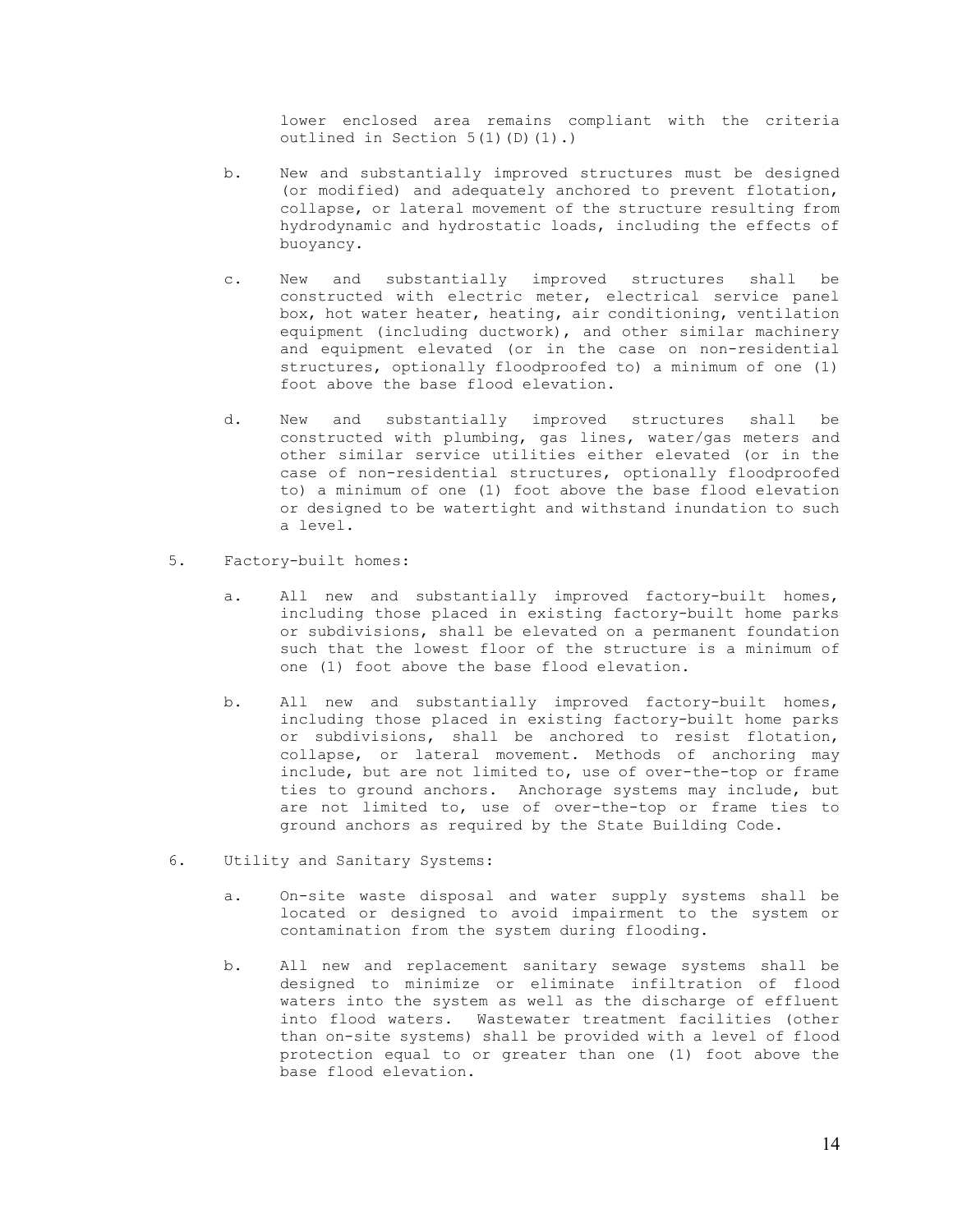lower enclosed area remains compliant with the criteria outlined in Section 5(1)(D)(1).)

- b. New and substantially improved structures must be designed (or modified) and adequately anchored to prevent flotation, collapse, or lateral movement of the structure resulting from hydrodynamic and hydrostatic loads, including the effects of buoyancy.
- c. New and substantially improved structures shall be constructed with electric meter, electrical service panel box, hot water heater, heating, air conditioning, ventilation equipment (including ductwork), and other similar machinery and equipment elevated (or in the case on non-residential structures, optionally floodproofed to) a minimum of one (1) foot above the base flood elevation.
- d. New and substantially improved structures shall be constructed with plumbing, gas lines, water/gas meters and other similar service utilities either elevated (or in the case of non-residential structures, optionally floodproofed to) a minimum of one (1) foot above the base flood elevation or designed to be watertight and withstand inundation to such a level.
- 5. Factory-built homes:
	- a. All new and substantially improved factory-built homes, including those placed in existing factory-built home parks or subdivisions, shall be elevated on a permanent foundation such that the lowest floor of the structure is a minimum of one (1) foot above the base flood elevation.
	- b. All new and substantially improved factory-built homes, including those placed in existing factory-built home parks or subdivisions, shall be anchored to resist flotation, collapse, or lateral movement. Methods of anchoring may include, but are not limited to, use of over-the-top or frame ties to ground anchors. Anchorage systems may include, but are not limited to, use of over-the-top or frame ties to ground anchors as required by the State Building Code.
- 6. Utility and Sanitary Systems:
	- a. On-site waste disposal and water supply systems shall be located or designed to avoid impairment to the system or contamination from the system during flooding.
	- b. All new and replacement sanitary sewage systems shall be designed to minimize or eliminate infiltration of flood waters into the system as well as the discharge of effluent into flood waters. Wastewater treatment facilities (other than on-site systems) shall be provided with a level of flood protection equal to or greater than one (1) foot above the base flood elevation.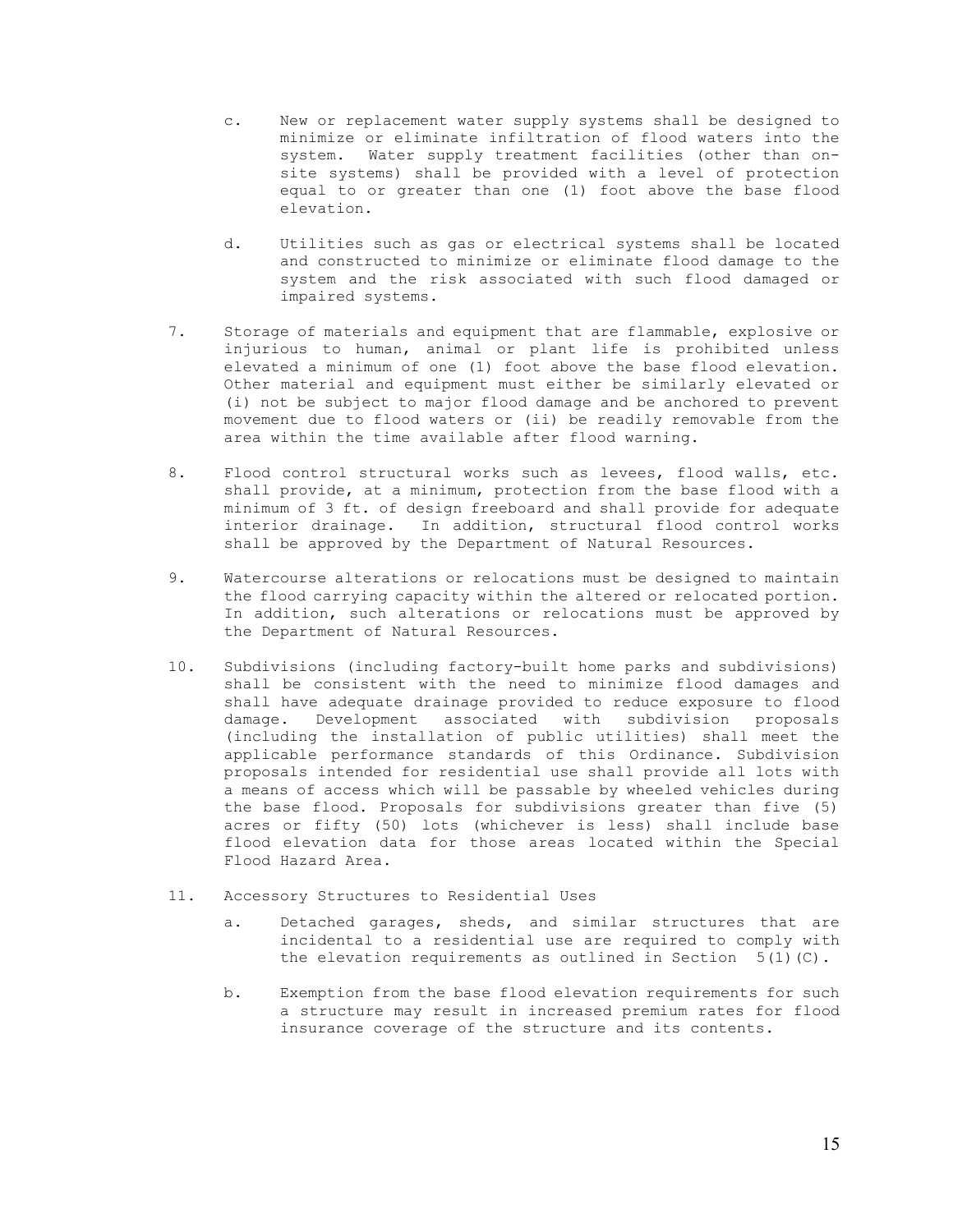- c. New or replacement water supply systems shall be designed to minimize or eliminate infiltration of flood waters into the system. Water supply treatment facilities (other than onsite systems) shall be provided with a level of protection equal to or greater than one (1) foot above the base flood elevation.
- d. Utilities such as gas or electrical systems shall be located and constructed to minimize or eliminate flood damage to the system and the risk associated with such flood damaged or impaired systems.
- 7. Storage of materials and equipment that are flammable, explosive or injurious to human, animal or plant life is prohibited unless elevated a minimum of one (1) foot above the base flood elevation. Other material and equipment must either be similarly elevated or (i) not be subject to major flood damage and be anchored to prevent movement due to flood waters or (ii) be readily removable from the area within the time available after flood warning.
- 8. Flood control structural works such as levees, flood walls, etc. shall provide, at a minimum, protection from the base flood with a minimum of 3 ft. of design freeboard and shall provide for adequate interior drainage. In addition, structural flood control works shall be approved by the Department of Natural Resources.
- 9. Watercourse alterations or relocations must be designed to maintain the flood carrying capacity within the altered or relocated portion. In addition, such alterations or relocations must be approved by the Department of Natural Resources.
- 10. Subdivisions (including factory-built home parks and subdivisions) shall be consistent with the need to minimize flood damages and shall have adequate drainage provided to reduce exposure to flood damage. Development associated with subdivision proposals (including the installation of public utilities) shall meet the applicable performance standards of this Ordinance. Subdivision proposals intended for residential use shall provide all lots with a means of access which will be passable by wheeled vehicles during the base flood. Proposals for subdivisions greater than five (5) acres or fifty (50) lots (whichever is less) shall include base flood elevation data for those areas located within the Special Flood Hazard Area.
- 11. Accessory Structures to Residential Uses
	- a. Detached garages, sheds, and similar structures that are incidental to a residential use are required to comply with the elevation requirements as outlined in Section  $5(1)(C)$ .
	- b. Exemption from the base flood elevation requirements for such a structure may result in increased premium rates for flood insurance coverage of the structure and its contents.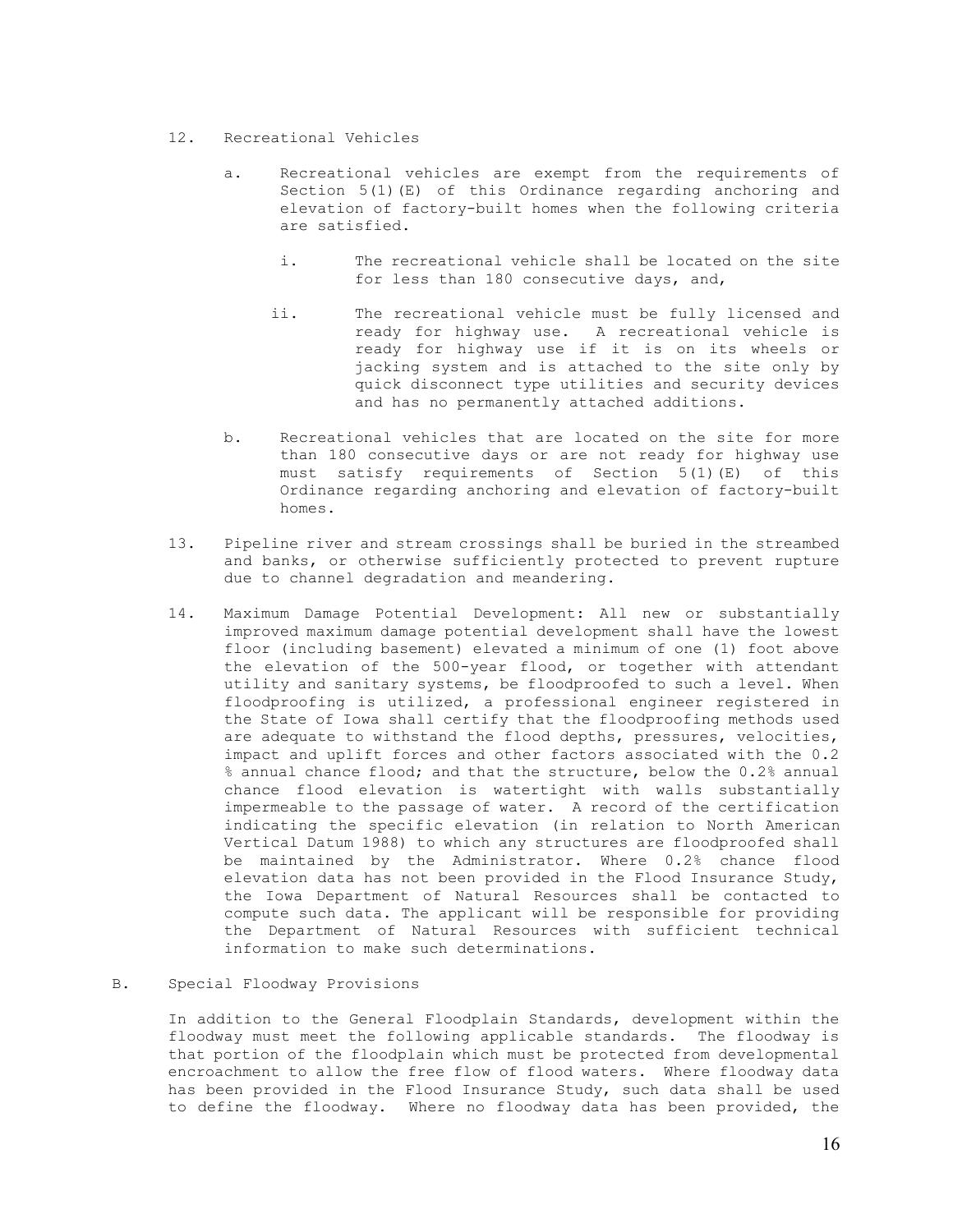# 12. Recreational Vehicles

- a. Recreational vehicles are exempt from the requirements of Section  $5(1)(E)$  of this Ordinance regarding anchoring and elevation of factory-built homes when the following criteria are satisfied.
	- i. The recreational vehicle shall be located on the site for less than 180 consecutive days, and,
	- ii. The recreational vehicle must be fully licensed and ready for highway use. A recreational vehicle is ready for highway use if it is on its wheels or jacking system and is attached to the site only by quick disconnect type utilities and security devices and has no permanently attached additions.
- b. Recreational vehicles that are located on the site for more than 180 consecutive days or are not ready for highway use must satisfy requirements of Section 5(1)(E) of this Ordinance regarding anchoring and elevation of factory-built homes.
- 13. Pipeline river and stream crossings shall be buried in the streambed and banks, or otherwise sufficiently protected to prevent rupture due to channel degradation and meandering.
- 14. Maximum Damage Potential Development: All new or substantially improved maximum damage potential development shall have the lowest floor (including basement) elevated a minimum of one (1) foot above the elevation of the 500-year flood, or together with attendant utility and sanitary systems, be floodproofed to such a level. When floodproofing is utilized, a professional engineer registered in the State of Iowa shall certify that the floodproofing methods used are adequate to withstand the flood depths, pressures, velocities, impact and uplift forces and other factors associated with the 0.2 % annual chance flood; and that the structure, below the 0.2% annual chance flood elevation is watertight with walls substantially impermeable to the passage of water. A record of the certification indicating the specific elevation (in relation to North American Vertical Datum 1988) to which any structures are floodproofed shall be maintained by the Administrator. Where 0.2% chance flood elevation data has not been provided in the Flood Insurance Study, the Iowa Department of Natural Resources shall be contacted to compute such data. The applicant will be responsible for providing the Department of Natural Resources with sufficient technical information to make such determinations.

# B. Special Floodway Provisions

In addition to the General Floodplain Standards, development within the floodway must meet the following applicable standards. The floodway is that portion of the floodplain which must be protected from developmental encroachment to allow the free flow of flood waters. Where floodway data has been provided in the Flood Insurance Study, such data shall be used to define the floodway. Where no floodway data has been provided, the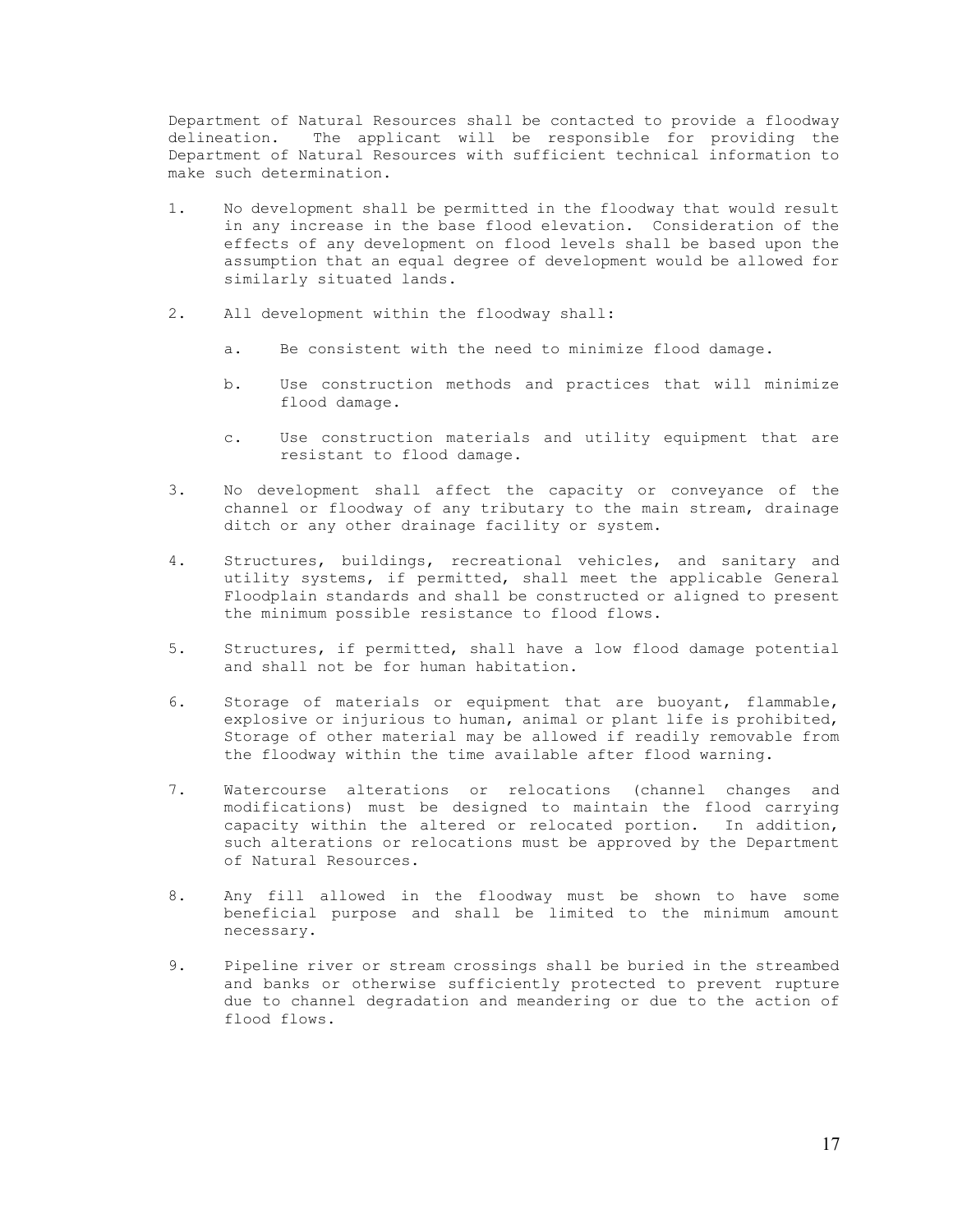Department of Natural Resources shall be contacted to provide a floodway delineation. The applicant will be responsible for providing the Department of Natural Resources with sufficient technical information to make such determination.

- 1. No development shall be permitted in the floodway that would result in any increase in the base flood elevation. Consideration of the effects of any development on flood levels shall be based upon the assumption that an equal degree of development would be allowed for similarly situated lands.
- 2. All development within the floodway shall:
	- a. Be consistent with the need to minimize flood damage.
	- b. Use construction methods and practices that will minimize flood damage.
	- c. Use construction materials and utility equipment that are resistant to flood damage.
- 3. No development shall affect the capacity or conveyance of the channel or floodway of any tributary to the main stream, drainage ditch or any other drainage facility or system.
- 4. Structures, buildings, recreational vehicles, and sanitary and utility systems, if permitted, shall meet the applicable General Floodplain standards and shall be constructed or aligned to present the minimum possible resistance to flood flows.
- 5. Structures, if permitted, shall have a low flood damage potential and shall not be for human habitation.
- 6. Storage of materials or equipment that are buoyant, flammable, explosive or injurious to human, animal or plant life is prohibited, Storage of other material may be allowed if readily removable from the floodway within the time available after flood warning.
- 7. Watercourse alterations or relocations (channel changes and modifications) must be designed to maintain the flood carrying capacity within the altered or relocated portion. In addition, such alterations or relocations must be approved by the Department of Natural Resources.
- 8. Any fill allowed in the floodway must be shown to have some beneficial purpose and shall be limited to the minimum amount necessary.
- 9. Pipeline river or stream crossings shall be buried in the streambed and banks or otherwise sufficiently protected to prevent rupture due to channel degradation and meandering or due to the action of flood flows.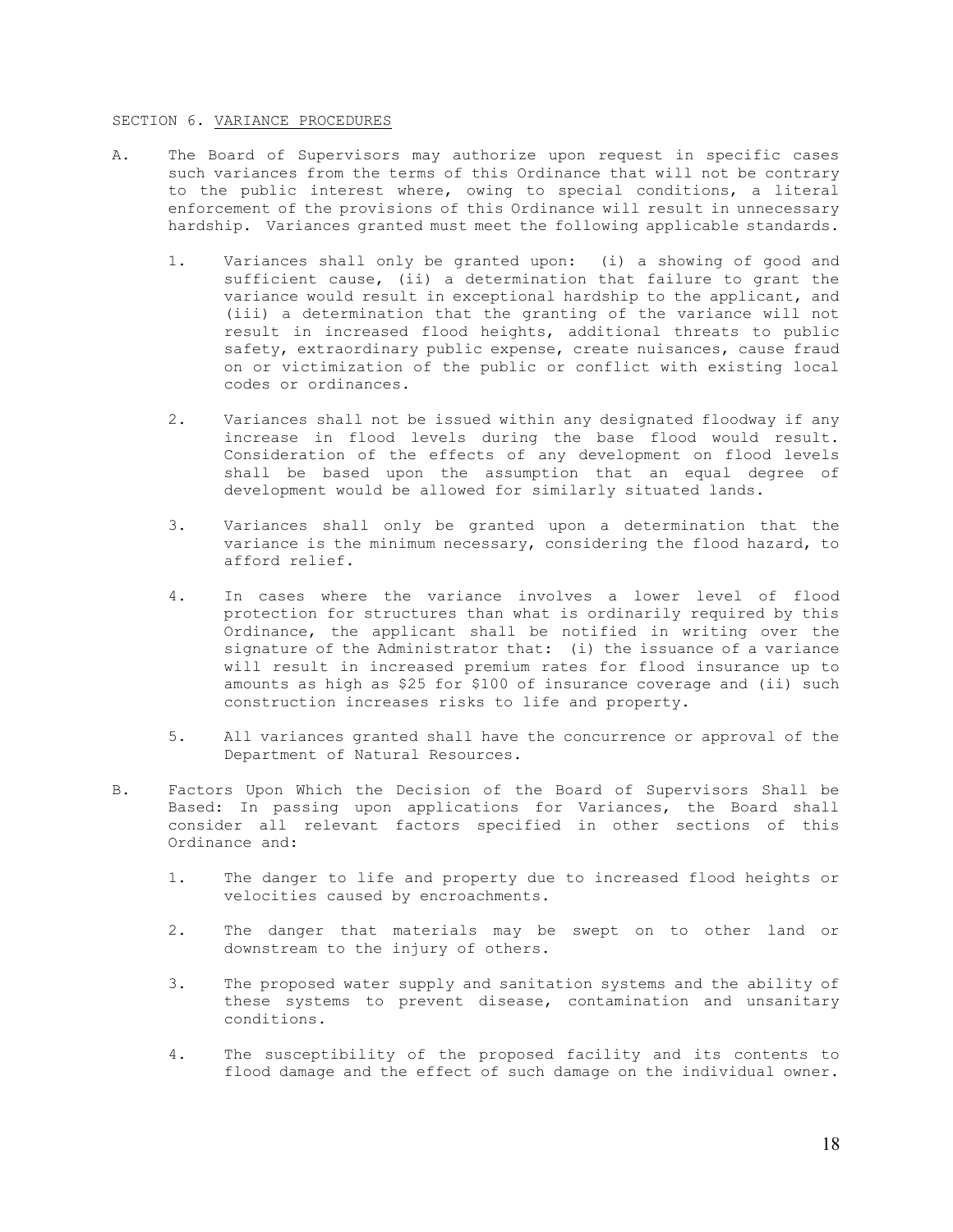#### SECTION 6. VARIANCE PROCEDURES

- A. The Board of Supervisors may authorize upon request in specific cases such variances from the terms of this Ordinance that will not be contrary to the public interest where, owing to special conditions, a literal enforcement of the provisions of this Ordinance will result in unnecessary hardship. Variances granted must meet the following applicable standards.
	- 1. Variances shall only be granted upon: (i) a showing of good and sufficient cause, (ii) a determination that failure to grant the variance would result in exceptional hardship to the applicant, and (iii) a determination that the granting of the variance will not result in increased flood heights, additional threats to public safety, extraordinary public expense, create nuisances, cause fraud on or victimization of the public or conflict with existing local codes or ordinances.
	- 2. Variances shall not be issued within any designated floodway if any increase in flood levels during the base flood would result. Consideration of the effects of any development on flood levels shall be based upon the assumption that an equal degree of development would be allowed for similarly situated lands.
	- 3. Variances shall only be granted upon a determination that the variance is the minimum necessary, considering the flood hazard, to afford relief.
	- 4. In cases where the variance involves a lower level of flood protection for structures than what is ordinarily required by this Ordinance, the applicant shall be notified in writing over the signature of the Administrator that: (i) the issuance of a variance will result in increased premium rates for flood insurance up to amounts as high as \$25 for \$100 of insurance coverage and (ii) such construction increases risks to life and property.
	- 5. All variances granted shall have the concurrence or approval of the Department of Natural Resources.
- B. Factors Upon Which the Decision of the Board of Supervisors Shall be Based: In passing upon applications for Variances, the Board shall consider all relevant factors specified in other sections of this Ordinance and:
	- 1. The danger to life and property due to increased flood heights or velocities caused by encroachments.
	- 2. The danger that materials may be swept on to other land or downstream to the injury of others.
	- 3. The proposed water supply and sanitation systems and the ability of these systems to prevent disease, contamination and unsanitary conditions.
	- 4. The susceptibility of the proposed facility and its contents to flood damage and the effect of such damage on the individual owner.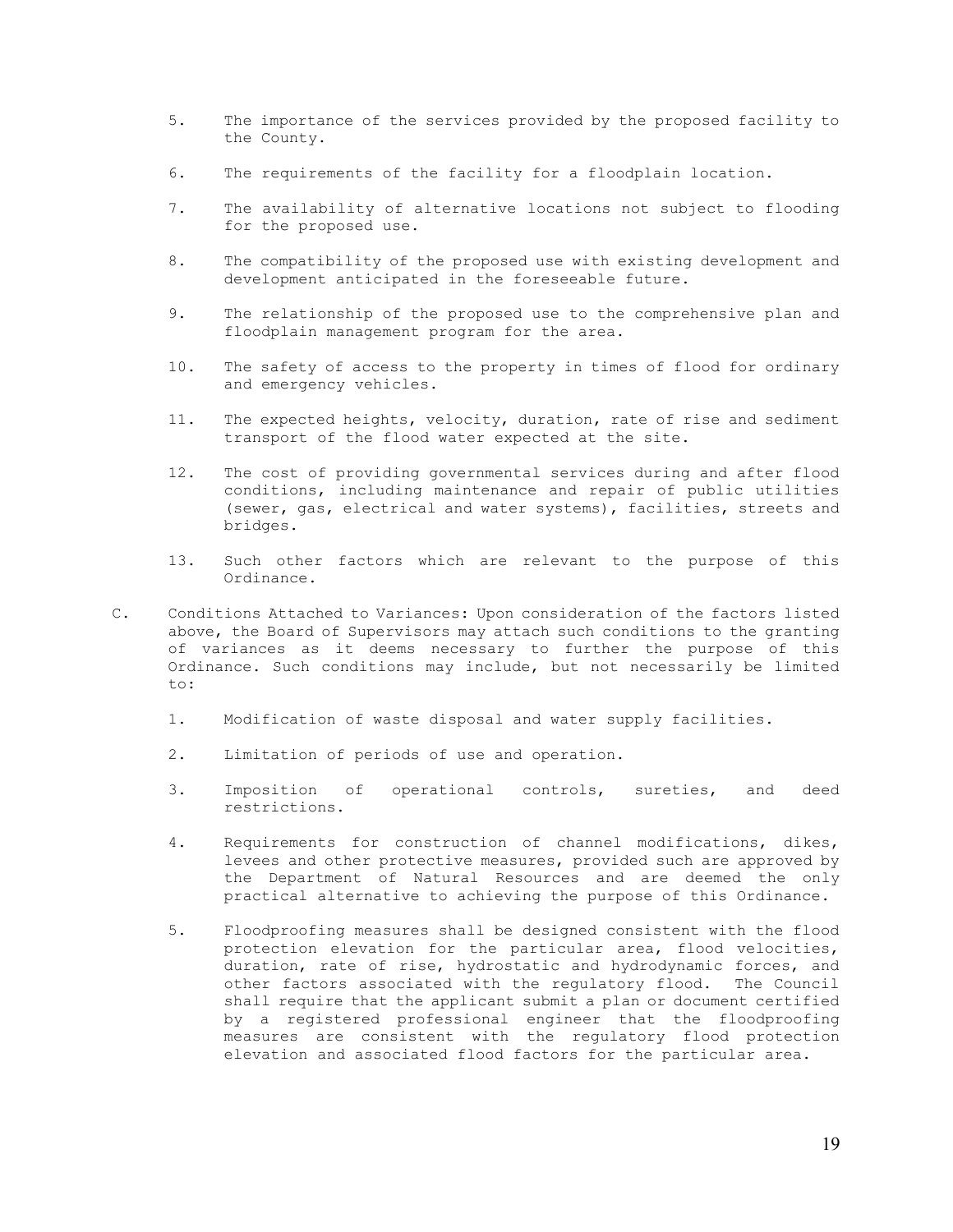- 5. The importance of the services provided by the proposed facility to the County.
- 6. The requirements of the facility for a floodplain location.
- 7. The availability of alternative locations not subject to flooding for the proposed use.
- 8. The compatibility of the proposed use with existing development and development anticipated in the foreseeable future.
- 9. The relationship of the proposed use to the comprehensive plan and floodplain management program for the area.
- 10. The safety of access to the property in times of flood for ordinary and emergency vehicles.
- 11. The expected heights, velocity, duration, rate of rise and sediment transport of the flood water expected at the site.
- 12. The cost of providing governmental services during and after flood conditions, including maintenance and repair of public utilities (sewer, gas, electrical and water systems), facilities, streets and bridges.
- 13. Such other factors which are relevant to the purpose of this Ordinance.
- C. Conditions Attached to Variances: Upon consideration of the factors listed above, the Board of Supervisors may attach such conditions to the granting of variances as it deems necessary to further the purpose of this Ordinance. Such conditions may include, but not necessarily be limited to:
	- 1. Modification of waste disposal and water supply facilities.
	- 2. Limitation of periods of use and operation.
	- 3. Imposition of operational controls, sureties, and deed restrictions.
	- 4. Requirements for construction of channel modifications, dikes, levees and other protective measures, provided such are approved by the Department of Natural Resources and are deemed the only practical alternative to achieving the purpose of this Ordinance.
	- 5. Floodproofing measures shall be designed consistent with the flood protection elevation for the particular area, flood velocities, duration, rate of rise, hydrostatic and hydrodynamic forces, and other factors associated with the regulatory flood. The Council shall require that the applicant submit a plan or document certified by a registered professional engineer that the floodproofing measures are consistent with the regulatory flood protection elevation and associated flood factors for the particular area.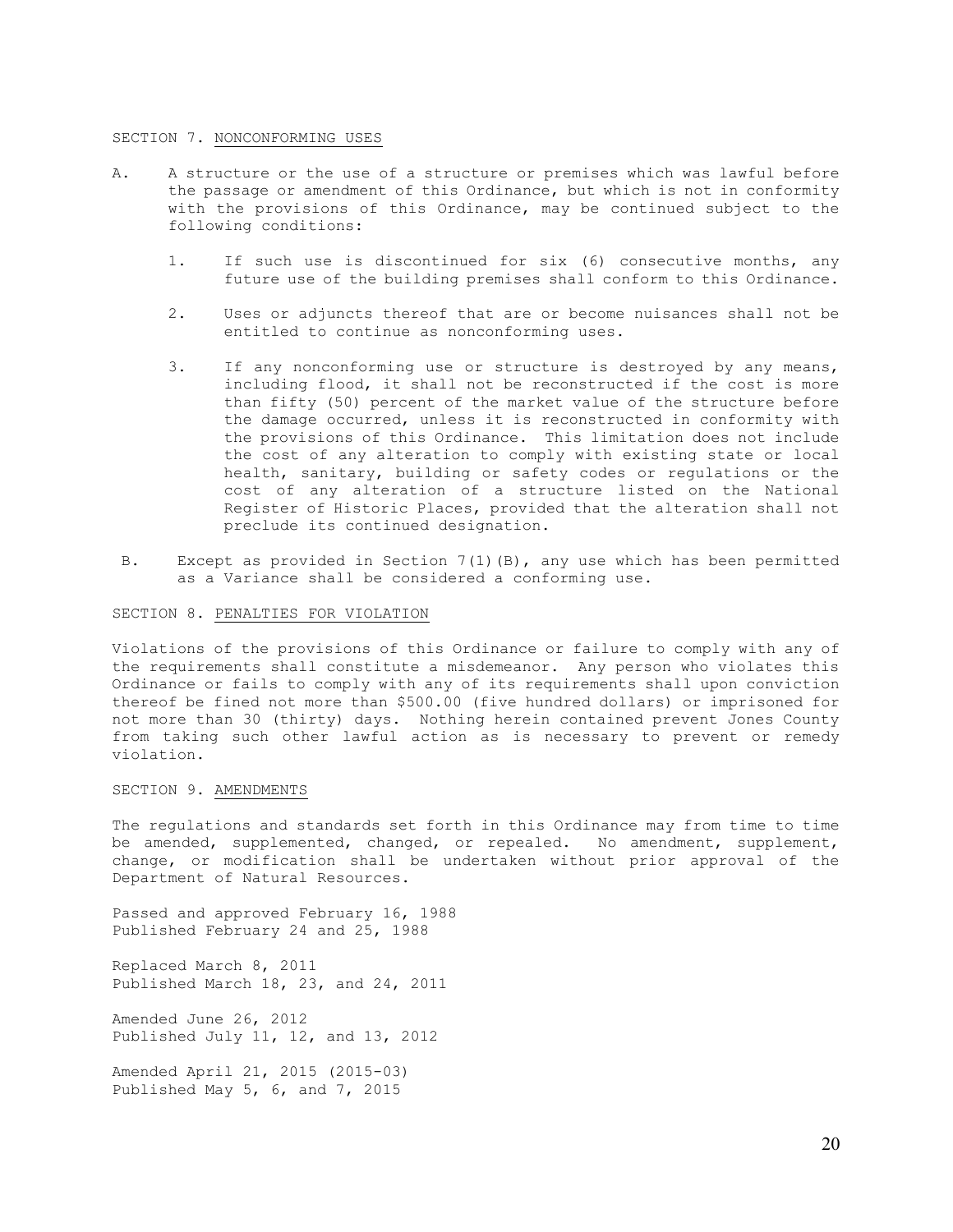### SECTION 7. NONCONFORMING USES

- A. A structure or the use of a structure or premises which was lawful before the passage or amendment of this Ordinance, but which is not in conformity with the provisions of this Ordinance, may be continued subject to the following conditions:
	- 1. If such use is discontinued for six (6) consecutive months, any future use of the building premises shall conform to this Ordinance.
	- 2. Uses or adjuncts thereof that are or become nuisances shall not be entitled to continue as nonconforming uses.
	- 3. If any nonconforming use or structure is destroyed by any means, including flood, it shall not be reconstructed if the cost is more than fifty (50) percent of the market value of the structure before the damage occurred, unless it is reconstructed in conformity with the provisions of this Ordinance. This limitation does not include the cost of any alteration to comply with existing state or local health, sanitary, building or safety codes or regulations or the cost of any alteration of a structure listed on the National Register of Historic Places, provided that the alteration shall not preclude its continued designation.
- B. Except as provided in Section 7(1)(B), any use which has been permitted as a Variance shall be considered a conforming use.

#### SECTION 8. PENALTIES FOR VIOLATION

Violations of the provisions of this Ordinance or failure to comply with any of the requirements shall constitute a misdemeanor. Any person who violates this Ordinance or fails to comply with any of its requirements shall upon conviction thereof be fined not more than \$500.00 (five hundred dollars) or imprisoned for not more than 30 (thirty) days. Nothing herein contained prevent Jones County from taking such other lawful action as is necessary to prevent or remedy violation.

# SECTION 9. AMENDMENTS

The regulations and standards set forth in this Ordinance may from time to time be amended, supplemented, changed, or repealed. No amendment, supplement, change, or modification shall be undertaken without prior approval of the Department of Natural Resources.

Passed and approved February 16, 1988 Published February 24 and 25, 1988

Replaced March 8, 2011 Published March 18, 23, and 24, 2011

Amended June 26, 2012 Published July 11, 12, and 13, 2012

Amended April 21, 2015 (2015-03) Published May 5, 6, and 7, 2015